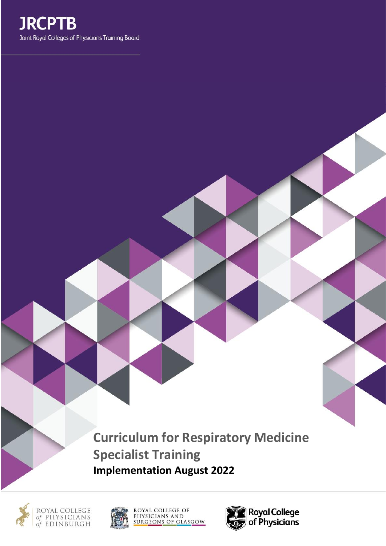

**Curriculum for Respiratory Medicine Specialist Training Implementation August 2022**









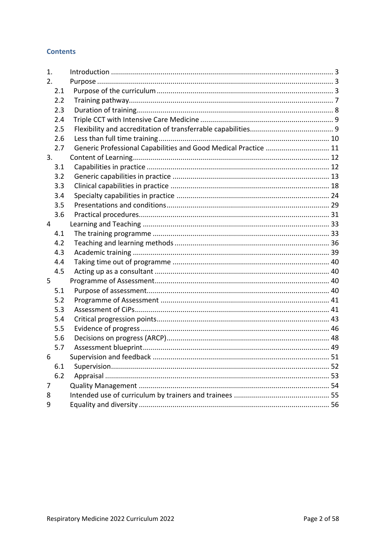### **Contents**

| 1.  |                                                                 |    |
|-----|-----------------------------------------------------------------|----|
| 2.  |                                                                 |    |
| 2.1 |                                                                 |    |
| 2.2 |                                                                 |    |
| 2.3 |                                                                 |    |
| 2.4 |                                                                 |    |
| 2.5 |                                                                 |    |
| 2.6 |                                                                 |    |
| 2.7 | Generic Professional Capabilities and Good Medical Practice  11 |    |
| 3.  |                                                                 |    |
| 3.1 |                                                                 |    |
| 3.2 |                                                                 |    |
| 3.3 |                                                                 |    |
| 3.4 |                                                                 |    |
| 3.5 |                                                                 |    |
| 3.6 |                                                                 |    |
| 4   |                                                                 |    |
| 4.1 |                                                                 |    |
| 4.2 |                                                                 |    |
| 4.3 |                                                                 |    |
| 4.4 |                                                                 |    |
| 4.5 |                                                                 |    |
| 5   |                                                                 |    |
| 5.1 |                                                                 |    |
| 5.2 |                                                                 |    |
| 5.3 |                                                                 |    |
| 5.4 |                                                                 |    |
| 5.5 |                                                                 |    |
| 5.6 |                                                                 |    |
| 5.7 |                                                                 |    |
| 6   |                                                                 | 51 |
| 6.1 |                                                                 |    |
| 6.2 |                                                                 |    |
| 7   |                                                                 |    |
| 8   |                                                                 |    |
| 9   |                                                                 |    |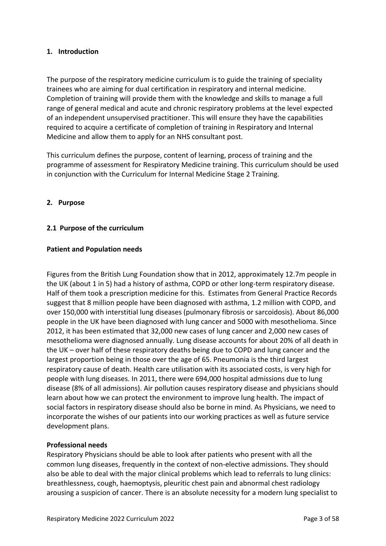### <span id="page-2-0"></span>**1. Introduction**

The purpose of the respiratory medicine curriculum is to guide the training of speciality trainees who are aiming for dual certification in respiratory and internal medicine. Completion of training will provide them with the knowledge and skills to manage a full range of general medical and acute and chronic respiratory problems at the level expected of an independent unsupervised practitioner. This will ensure they have the capabilities required to acquire a certificate of completion of training in Respiratory and Internal Medicine and allow them to apply for an NHS consultant post.

This curriculum defines the purpose, content of learning, process of training and the programme of assessment for Respiratory Medicine training. This curriculum should be used in conjunction with the Curriculum for Internal Medicine Stage 2 Training.

### <span id="page-2-1"></span>**2. Purpose**

### <span id="page-2-2"></span>**2.1 Purpose of the curriculum**

#### **Patient and Population needs**

Figures from the British Lung Foundation show that in 2012, approximately 12.7m people in the UK (about 1 in 5) had a history of asthma, COPD or other long-term respiratory disease. Half of them took a prescription medicine for this. Estimates from General Practice Records suggest that 8 million people have been diagnosed with asthma, 1.2 million with COPD, and over 150,000 with interstitial lung diseases (pulmonary fibrosis or sarcoidosis). About 86,000 people in the UK have been diagnosed with lung cancer and 5000 with mesothelioma. Since 2012, it has been estimated that 32,000 new cases of lung cancer and 2,000 new cases of mesothelioma were diagnosed annually. Lung disease accounts for about 20% of all death in the UK – over half of these respiratory deaths being due to COPD and lung cancer and the largest proportion being in those over the age of 65. Pneumonia is the third largest respiratory cause of death. Health care utilisation with its associated costs, is very high for people with lung diseases. In 2011, there were 694,000 hospital admissions due to lung disease (8% of all admissions). Air pollution causes respiratory disease and physicians should learn about how we can protect the environment to improve lung health. The impact of social factors in respiratory disease should also be borne in mind. As Physicians, we need to incorporate the wishes of our patients into our working practices as well as future service development plans.

#### **Professional needs**

Respiratory Physicians should be able to look after patients who present with all the common lung diseases, frequently in the context of non-elective admissions. They should also be able to deal with the major clinical problems which lead to referrals to lung clinics: breathlessness, cough, haemoptysis, pleuritic chest pain and abnormal chest radiology arousing a suspicion of cancer. There is an absolute necessity for a modern lung specialist to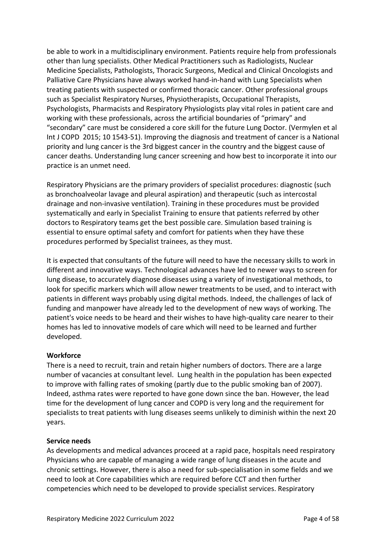be able to work in a multidisciplinary environment. Patients require help from professionals other than lung specialists. Other Medical Practitioners such as Radiologists, Nuclear Medicine Specialists, Pathologists, Thoracic Surgeons, Medical and Clinical Oncologists and Palliative Care Physicians have always worked hand-in-hand with Lung Specialists when treating patients with suspected or confirmed thoracic cancer. Other professional groups such as Specialist Respiratory Nurses, Physiotherapists, Occupational Therapists, Psychologists, Pharmacists and Respiratory Physiologists play vital roles in patient care and working with these professionals, across the artificial boundaries of "primary" and "secondary" care must be considered a core skill for the future Lung Doctor. (Vermylen et al Int J COPD 2015; 10 1543-51). Improving the diagnosis and treatment of cancer is a National priority and lung cancer is the 3rd biggest cancer in the country and the biggest cause of cancer deaths. Understanding lung cancer screening and how best to incorporate it into our practice is an unmet need.

Respiratory Physicians are the primary providers of specialist procedures: diagnostic (such as bronchoalveolar lavage and pleural aspiration) and therapeutic (such as intercostal drainage and non-invasive ventilation). Training in these procedures must be provided systematically and early in Specialist Training to ensure that patients referred by other doctors to Respiratory teams get the best possible care. Simulation based training is essential to ensure optimal safety and comfort for patients when they have these procedures performed by Specialist trainees, as they must.

It is expected that consultants of the future will need to have the necessary skills to work in different and innovative ways. Technological advances have led to newer ways to screen for lung disease, to accurately diagnose diseases using a variety of investigational methods, to look for specific markers which will allow newer treatments to be used, and to interact with patients in different ways probably using digital methods. Indeed, the challenges of lack of funding and manpower have already led to the development of new ways of working. The patient's voice needs to be heard and their wishes to have high-quality care nearer to their homes has led to innovative models of care which will need to be learned and further developed.

#### **Workforce**

There is a need to recruit, train and retain higher numbers of doctors. There are a large number of vacancies at consultant level. Lung health in the population has been expected to improve with falling rates of smoking (partly due to the public smoking ban of 2007). Indeed, asthma rates were reported to have gone down since the ban. However, the lead time for the development of lung cancer and COPD is very long and the requirement for specialists to treat patients with lung diseases seems unlikely to diminish within the next 20 years.

#### **Service needs**

As developments and medical advances proceed at a rapid pace, hospitals need respiratory Physicians who are capable of managing a wide range of lung diseases in the acute and chronic settings. However, there is also a need for sub-specialisation in some fields and we need to look at Core capabilities which are required before CCT and then further competencies which need to be developed to provide specialist services. Respiratory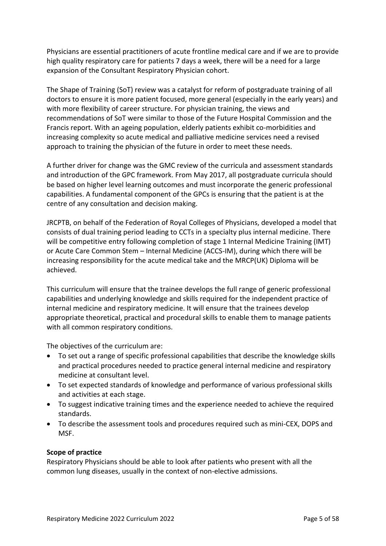Physicians are essential practitioners of acute frontline medical care and if we are to provide high quality respiratory care for patients 7 days a week, there will be a need for a large expansion of the Consultant Respiratory Physician cohort.

The Shape of Training (SoT) review was a catalyst for reform of postgraduate training of all doctors to ensure it is more patient focused, more general (especially in the early years) and with more flexibility of career structure. For physician training, the views and recommendations of SoT were similar to those of the Future Hospital Commission and the Francis report. With an ageing population, elderly patients exhibit co-morbidities and increasing complexity so acute medical and palliative medicine services need a revised approach to training the physician of the future in order to meet these needs.

A further driver for change was the GMC review of the curricula and assessment standards and introduction of the GPC framework. From May 2017, all postgraduate curricula should be based on higher level learning outcomes and must incorporate the generic professional capabilities. A fundamental component of the GPCs is ensuring that the patient is at the centre of any consultation and decision making.

JRCPTB, on behalf of the Federation of Royal Colleges of Physicians, developed a model that consists of dual training period leading to CCTs in a specialty plus internal medicine. There will be competitive entry following completion of stage 1 Internal Medicine Training (IMT) or Acute Care Common Stem – Internal Medicine (ACCS-IM), during which there will be increasing responsibility for the acute medical take and the MRCP(UK) Diploma will be achieved.

This curriculum will ensure that the trainee develops the full range of generic professional capabilities and underlying knowledge and skills required for the independent practice of internal medicine and respiratory medicine. It will ensure that the trainees develop appropriate theoretical, practical and procedural skills to enable them to manage patients with all common respiratory conditions.

The objectives of the curriculum are:

- To set out a range of specific professional capabilities that describe the knowledge skills and practical procedures needed to practice general internal medicine and respiratory medicine at consultant level.
- To set expected standards of knowledge and performance of various professional skills and activities at each stage.
- To suggest indicative training times and the experience needed to achieve the required standards.
- To describe the assessment tools and procedures required such as mini-CEX, DOPS and MSF.

#### **Scope of practice**

Respiratory Physicians should be able to look after patients who present with all the common lung diseases, usually in the context of non-elective admissions.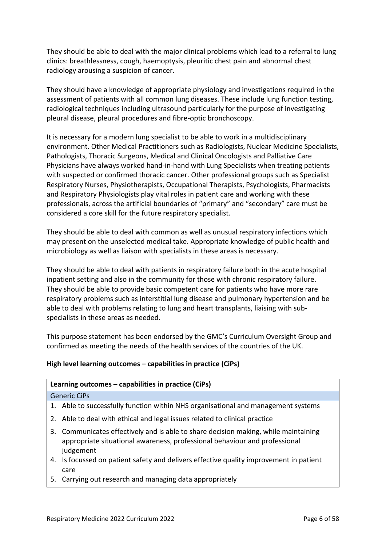They should be able to deal with the major clinical problems which lead to a referral to lung clinics: breathlessness, cough, haemoptysis, pleuritic chest pain and abnormal chest radiology arousing a suspicion of cancer.

They should have a knowledge of appropriate physiology and investigations required in the assessment of patients with all common lung diseases. These include lung function testing, radiological techniques including ultrasound particularly for the purpose of investigating pleural disease, pleural procedures and fibre-optic bronchoscopy.

It is necessary for a modern lung specialist to be able to work in a multidisciplinary environment. Other Medical Practitioners such as Radiologists, Nuclear Medicine Specialists, Pathologists, Thoracic Surgeons, Medical and Clinical Oncologists and Palliative Care Physicians have always worked hand-in-hand with Lung Specialists when treating patients with suspected or confirmed thoracic cancer. Other professional groups such as Specialist Respiratory Nurses, Physiotherapists, Occupational Therapists, Psychologists, Pharmacists and Respiratory Physiologists play vital roles in patient care and working with these professionals, across the artificial boundaries of "primary" and "secondary" care must be considered a core skill for the future respiratory specialist.

They should be able to deal with common as well as unusual respiratory infections which may present on the unselected medical take. Appropriate knowledge of public health and microbiology as well as liaison with specialists in these areas is necessary.

They should be able to deal with patients in respiratory failure both in the acute hospital inpatient setting and also in the community for those with chronic respiratory failure. They should be able to provide basic competent care for patients who have more rare respiratory problems such as interstitial lung disease and pulmonary hypertension and be able to deal with problems relating to lung and heart transplants, liaising with subspecialists in these areas as needed.

This purpose statement has been endorsed by the GMC's Curriculum Oversight Group and confirmed as meeting the needs of the health services of the countries of the UK.

### **High level learning outcomes – capabilities in practice (CiPs)**

# **Learning outcomes – capabilities in practice (CiPs)**

#### Generic CiPs

- 1. Able to successfully function within NHS organisational and management systems
- 2. Able to deal with ethical and legal issues related to clinical practice
- 3. Communicates effectively and is able to share decision making, while maintaining appropriate situational awareness, professional behaviour and professional judgement
- 4. Is focussed on patient safety and delivers effective quality improvement in patient care
- 5. Carrying out research and managing data appropriately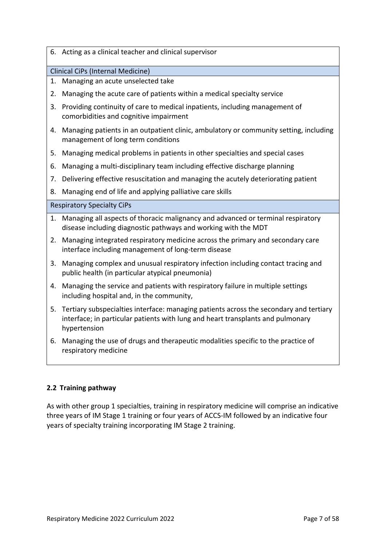|  |  |  |  |  |  | 6. Acting as a clinical teacher and clinical supervisor |
|--|--|--|--|--|--|---------------------------------------------------------|
|--|--|--|--|--|--|---------------------------------------------------------|

### Clinical CiPs (Internal Medicine)

- 1. Managing an acute unselected take
- 2. Managing the acute care of patients within a medical specialty service
- 3. Providing continuity of care to medical inpatients, including management of comorbidities and cognitive impairment
- 4. Managing patients in an outpatient clinic, ambulatory or community setting, including management of long term conditions
- 5. Managing medical problems in patients in other specialties and special cases
- 6. Managing a multi-disciplinary team including effective discharge planning
- 7. Delivering effective resuscitation and managing the acutely deteriorating patient
- 8. Managing end of life and applying palliative care skills

#### Respiratory Specialty CiPs

- 1. Managing all aspects of thoracic malignancy and advanced or terminal respiratory disease including diagnostic pathways and working with the MDT
- 2. Managing integrated respiratory medicine across the primary and secondary care interface including management of long-term disease
- 3. Managing complex and unusual respiratory infection including contact tracing and public health (in particular atypical pneumonia)
- 4. Managing the service and patients with respiratory failure in multiple settings including hospital and, in the community,
- 5. Tertiary subspecialties interface: managing patients across the secondary and tertiary interface; in particular patients with lung and heart transplants and pulmonary hypertension
- 6. Managing the use of drugs and therapeutic modalities specific to the practice of respiratory medicine

### <span id="page-6-0"></span>**2.2 Training pathway**

As with other group 1 specialties, training in respiratory medicine will comprise an indicative three years of IM Stage 1 training or four years of ACCS-IM followed by an indicative four years of specialty training incorporating IM Stage 2 training.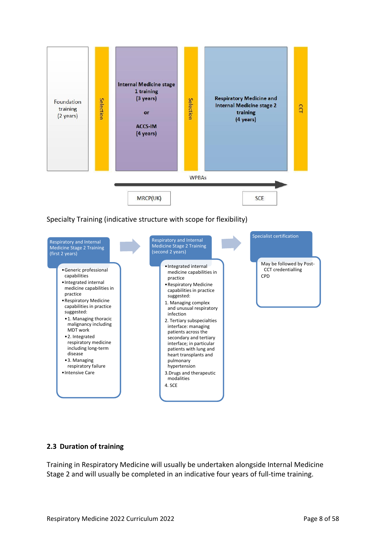

### Specialty Training (indicative structure with scope for flexibility)



#### <span id="page-7-0"></span>**2.3 Duration of training**

Training in Respiratory Medicine will usually be undertaken alongside Internal Medicine Stage 2 and will usually be completed in an indicative four years of full-time training.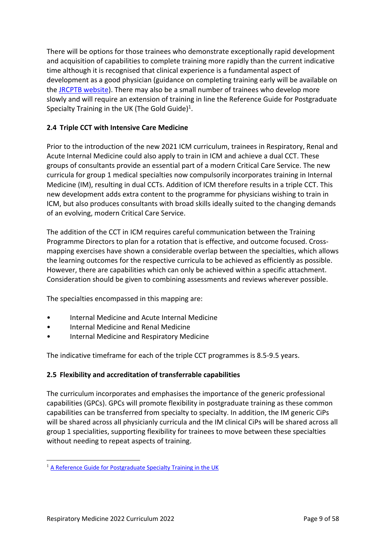There will be options for those trainees who demonstrate exceptionally rapid development and acquisition of capabilities to complete training more rapidly than the current indicative time although it is recognised that clinical experience is a fundamental aspect of development as a good physician (guidance on completing training early will be available on the [JRCPTB website\)](http://www.jrcptb.org.uk/). There may also be a small number of trainees who develop more slowly and will require an extension of training in line the Reference Guide for Postgraduate Specialty Training in the UK (The Gold Guide)<sup>1</sup>.

### <span id="page-8-0"></span>**2.4 Triple CCT with Intensive Care Medicine**

Prior to the introduction of the new 2021 ICM curriculum, trainees in Respiratory, Renal and Acute Internal Medicine could also apply to train in ICM and achieve a dual CCT. These groups of consultants provide an essential part of a modern Critical Care Service. The new curricula for group 1 medical specialties now compulsorily incorporates training in Internal Medicine (IM), resulting in dual CCTs. Addition of ICM therefore results in a triple CCT. This new development adds extra content to the programme for physicians wishing to train in ICM, but also produces consultants with broad skills ideally suited to the changing demands of an evolving, modern Critical Care Service.

The addition of the CCT in ICM requires careful communication between the Training Programme Directors to plan for a rotation that is effective, and outcome focused. Crossmapping exercises have shown a considerable overlap between the specialties, which allows the learning outcomes for the respective curricula to be achieved as efficiently as possible. However, there are capabilities which can only be achieved within a specific attachment. Consideration should be given to combining assessments and reviews wherever possible.

The specialties encompassed in this mapping are:

- Internal Medicine and Acute Internal Medicine
- Internal Medicine and Renal Medicine
- Internal Medicine and Respiratory Medicine

The indicative timeframe for each of the triple CCT programmes is 8.5-9.5 years.

### <span id="page-8-1"></span>**2.5 Flexibility and accreditation of transferrable capabilities**

The curriculum incorporates and emphasises the importance of the generic professional capabilities (GPCs). GPCs will promote flexibility in postgraduate training as these common capabilities can be transferred from specialty to specialty. In addition, the IM generic CiPs will be shared across all physicianly curricula and the IM clinical CiPs will be shared across all group 1 specialities, supporting flexibility for trainees to move between these specialties without needing to repeat aspects of training.

<sup>&</sup>lt;sup>1</sup> [A Reference Guide for Postgraduate Specialty Training in the UK](https://www.copmed.org.uk/publications/the-gold-guide)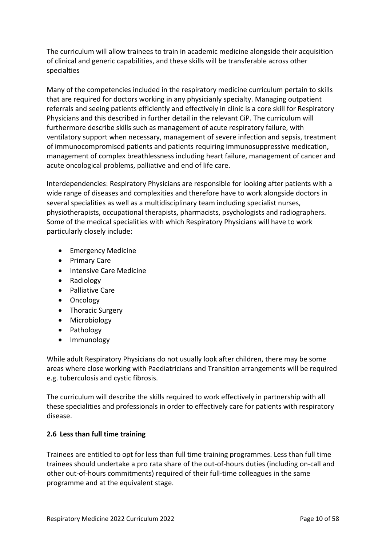The curriculum will allow trainees to train in academic medicine alongside their acquisition of clinical and generic capabilities, and these skills will be transferable across other specialties

Many of the competencies included in the respiratory medicine curriculum pertain to skills that are required for doctors working in any physicianly specialty. Managing outpatient referrals and seeing patients efficiently and effectively in clinic is a core skill for Respiratory Physicians and this described in further detail in the relevant CiP. The curriculum will furthermore describe skills such as management of acute respiratory failure, with ventilatory support when necessary, management of severe infection and sepsis, treatment of immunocompromised patients and patients requiring immunosuppressive medication, management of complex breathlessness including heart failure, management of cancer and acute oncological problems, palliative and end of life care.

Interdependencies: Respiratory Physicians are responsible for looking after patients with a wide range of diseases and complexities and therefore have to work alongside doctors in several specialities as well as a multidisciplinary team including specialist nurses, physiotherapists, occupational therapists, pharmacists, psychologists and radiographers. Some of the medical specialities with which Respiratory Physicians will have to work particularly closely include:

- Emergency Medicine
- Primary Care
- Intensive Care Medicine
- Radiology
- Palliative Care
- Oncology
- Thoracic Surgery
- Microbiology
- Pathology
- Immunology

While adult Respiratory Physicians do not usually look after children, there may be some areas where close working with Paediatricians and Transition arrangements will be required e.g. tuberculosis and cystic fibrosis.

The curriculum will describe the skills required to work effectively in partnership with all these specialities and professionals in order to effectively care for patients with respiratory disease.

### <span id="page-9-0"></span>**2.6 Less than full time training**

Trainees are entitled to opt for less than full time training programmes. Less than full time trainees should undertake a pro rata share of the out-of-hours duties (including on-call and other out-of-hours commitments) required of their full-time colleagues in the same programme and at the equivalent stage.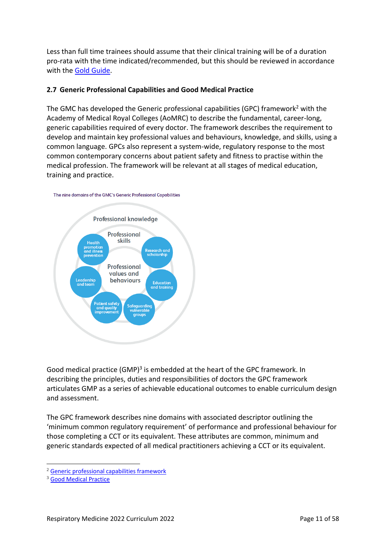Less than full time trainees should assume that their clinical training will be of a duration pro-rata with the time indicated/recommended, but this should be reviewed in accordance with the [Gold Guide.](https://www.copmed.org.uk/gold-guide/)

### <span id="page-10-0"></span>**2.7 Generic Professional Capabilities and Good Medical Practice**

The GMC has developed the Generic professional capabilities (GPC) framework<sup>2</sup> with the Academy of Medical Royal Colleges (AoMRC) to describe the fundamental, career-long, generic capabilities required of every doctor. The framework describes the requirement to develop and maintain key professional values and behaviours, knowledge, and skills, using a common language. GPCs also represent a system-wide, regulatory response to the most common contemporary concerns about patient safety and fitness to practise within the medical profession. The framework will be relevant at all stages of medical education, training and practice.





Good medical practice (GMP)<sup>3</sup> is embedded at the heart of the GPC framework. In describing the principles, duties and responsibilities of doctors the GPC framework articulates GMP as a series of achievable educational outcomes to enable curriculum design and assessment.

The GPC framework describes nine domains with associated descriptor outlining the 'minimum common regulatory requirement' of performance and professional behaviour for those completing a CCT or its equivalent. These attributes are common, minimum and generic standards expected of all medical practitioners achieving a CCT or its equivalent.

<sup>2</sup> [Generic professional capabilities framework](http://www.gmc-uk.org/education/postgraduate/GPC.asp)

<sup>3</sup> [Good Medical Practice](http://www.gmc-uk.org/guidance/good_medical_practice.asp)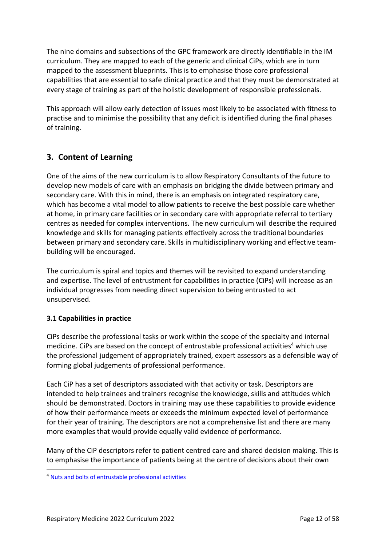The nine domains and subsections of the GPC framework are directly identifiable in the IM curriculum. They are mapped to each of the generic and clinical CiPs, which are in turn mapped to the assessment blueprints. This is to emphasise those core professional capabilities that are essential to safe clinical practice and that they must be demonstrated at every stage of training as part of the holistic development of responsible professionals.

This approach will allow early detection of issues most likely to be associated with fitness to practise and to minimise the possibility that any deficit is identified during the final phases of training.

# <span id="page-11-0"></span>**3. Content of Learning**

One of the aims of the new curriculum is to allow Respiratory Consultants of the future to develop new models of care with an emphasis on bridging the divide between primary and secondary care. With this in mind, there is an emphasis on integrated respiratory care, which has become a vital model to allow patients to receive the best possible care whether at home, in primary care facilities or in secondary care with appropriate referral to tertiary centres as needed for complex interventions. The new curriculum will describe the required knowledge and skills for managing patients effectively across the traditional boundaries between primary and secondary care. Skills in multidisciplinary working and effective teambuilding will be encouraged.

The curriculum is spiral and topics and themes will be revisited to expand understanding and expertise. The level of entrustment for capabilities in practice (CiPs) will increase as an individual progresses from needing direct supervision to being entrusted to act unsupervised.

# <span id="page-11-1"></span>**3.1 Capabilities in practice**

CiPs describe the professional tasks or work within the scope of the specialty and internal medicine. CiPs are based on the concept of entrustable professional activities<sup>4</sup> which use the professional judgement of appropriately trained, expert assessors as a defensible way of forming global judgements of professional performance.

Each CiP has a set of descriptors associated with that activity or task. Descriptors are intended to help trainees and trainers recognise the knowledge, skills and attitudes which should be demonstrated. Doctors in training may use these capabilities to provide evidence of how their performance meets or exceeds the minimum expected level of performance for their year of training. The descriptors are not a comprehensive list and there are many more examples that would provide equally valid evidence of performance.

Many of the CiP descriptors refer to patient centred care and shared decision making. This is to emphasise the importance of patients being at the centre of decisions about their own

<sup>4</sup> [Nuts and bolts of entrustable professional activities](https://www.ncbi.nlm.nih.gov/pmc/articles/PMC3613304/)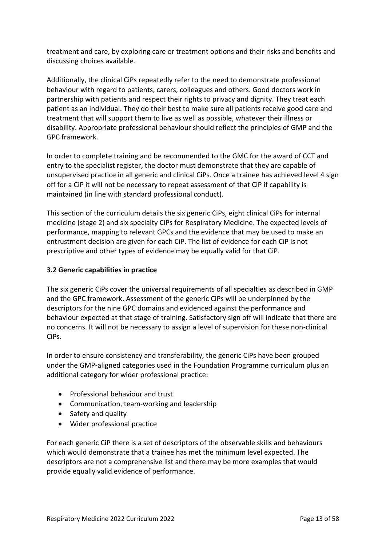treatment and care, by exploring care or treatment options and their risks and benefits and discussing choices available.

Additionally, the clinical CiPs repeatedly refer to the need to demonstrate professional behaviour with regard to patients, carers, colleagues and others. Good doctors work in partnership with patients and respect their rights to privacy and dignity. They treat each patient as an individual. They do their best to make sure all patients receive good care and treatment that will support them to live as well as possible, whatever their illness or disability. Appropriate professional behaviour should reflect the principles of GMP and the GPC framework.

In order to complete training and be recommended to the GMC for the award of CCT and entry to the specialist register, the doctor must demonstrate that they are capable of unsupervised practice in all generic and clinical CiPs. Once a trainee has achieved level 4 sign off for a CiP it will not be necessary to repeat assessment of that CiP if capability is maintained (in line with standard professional conduct).

This section of the curriculum details the six generic CiPs, eight clinical CiPs for internal medicine (stage 2) and six specialty CiPs for Respiratory Medicine. The expected levels of performance, mapping to relevant GPCs and the evidence that may be used to make an entrustment decision are given for each CiP. The list of evidence for each CiP is not prescriptive and other types of evidence may be equally valid for that CiP.

### <span id="page-12-0"></span>**3.2 Generic capabilities in practice**

The six generic CiPs cover the universal requirements of all specialties as described in GMP and the GPC framework. Assessment of the generic CiPs will be underpinned by the descriptors for the nine GPC domains and evidenced against the performance and behaviour expected at that stage of training. Satisfactory sign off will indicate that there are no concerns. It will not be necessary to assign a level of supervision for these non-clinical CiPs.

In order to ensure consistency and transferability, the generic CiPs have been grouped under the GMP-aligned categories used in the Foundation Programme curriculum plus an additional category for wider professional practice:

- Professional behaviour and trust
- Communication, team-working and leadership
- Safety and quality
- Wider professional practice

For each generic CiP there is a set of descriptors of the observable skills and behaviours which would demonstrate that a trainee has met the minimum level expected. The descriptors are not a comprehensive list and there may be more examples that would provide equally valid evidence of performance.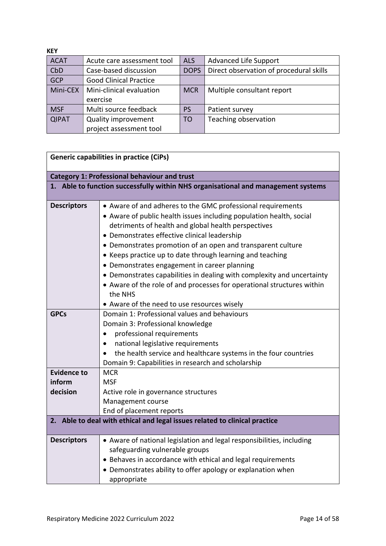| <b>KEY</b>   |                               |                |                                         |
|--------------|-------------------------------|----------------|-----------------------------------------|
| <b>ACAT</b>  | Acute care assessment tool    | <b>ALS</b>     | <b>Advanced Life Support</b>            |
| CbD          | Case-based discussion         | <b>DOPS</b>    | Direct observation of procedural skills |
| <b>GCP</b>   | <b>Good Clinical Practice</b> |                |                                         |
| Mini-CEX     | Mini-clinical evaluation      | <b>MCR</b>     | Multiple consultant report              |
|              | exercise                      |                |                                         |
| <b>MSF</b>   | Multi source feedback         | <b>PS</b>      | Patient survey                          |
| <b>QIPAT</b> | <b>Quality improvement</b>    | T <sub>O</sub> | Teaching observation                    |
|              | project assessment tool       |                |                                         |

| <b>Generic capabilities in practice (CiPs)</b>      |                                                                                                                                                                                                                                                                                                                                                                                                                                                                                                                                                                                                                                     |  |
|-----------------------------------------------------|-------------------------------------------------------------------------------------------------------------------------------------------------------------------------------------------------------------------------------------------------------------------------------------------------------------------------------------------------------------------------------------------------------------------------------------------------------------------------------------------------------------------------------------------------------------------------------------------------------------------------------------|--|
| <b>Category 1: Professional behaviour and trust</b> |                                                                                                                                                                                                                                                                                                                                                                                                                                                                                                                                                                                                                                     |  |
|                                                     | 1. Able to function successfully within NHS organisational and management systems                                                                                                                                                                                                                                                                                                                                                                                                                                                                                                                                                   |  |
| <b>Descriptors</b>                                  | • Aware of and adheres to the GMC professional requirements<br>• Aware of public health issues including population health, social<br>detriments of health and global health perspectives<br>• Demonstrates effective clinical leadership<br>• Demonstrates promotion of an open and transparent culture<br>• Keeps practice up to date through learning and teaching<br>• Demonstrates engagement in career planning<br>• Demonstrates capabilities in dealing with complexity and uncertainty<br>• Aware of the role of and processes for operational structures within<br>the NHS<br>• Aware of the need to use resources wisely |  |
| <b>GPCs</b>                                         | Domain 1: Professional values and behaviours<br>Domain 3: Professional knowledge<br>professional requirements<br>$\bullet$<br>national legislative requirements<br>the health service and healthcare systems in the four countries<br>Domain 9: Capabilities in research and scholarship                                                                                                                                                                                                                                                                                                                                            |  |
| <b>Evidence to</b><br>inform<br>decision            | <b>MCR</b><br><b>MSF</b><br>Active role in governance structures<br>Management course<br>End of placement reports                                                                                                                                                                                                                                                                                                                                                                                                                                                                                                                   |  |
|                                                     | 2. Able to deal with ethical and legal issues related to clinical practice                                                                                                                                                                                                                                                                                                                                                                                                                                                                                                                                                          |  |
| <b>Descriptors</b>                                  | • Aware of national legislation and legal responsibilities, including<br>safeguarding vulnerable groups<br>• Behaves in accordance with ethical and legal requirements<br>• Demonstrates ability to offer apology or explanation when<br>appropriate                                                                                                                                                                                                                                                                                                                                                                                |  |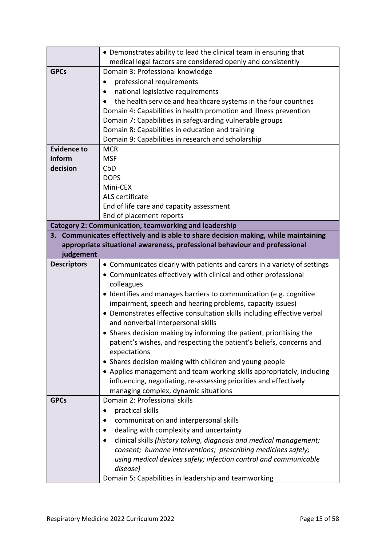|                    | • Demonstrates ability to lead the clinical team in ensuring that                        |
|--------------------|------------------------------------------------------------------------------------------|
|                    | medical legal factors are considered openly and consistently                             |
| <b>GPCs</b>        | Domain 3: Professional knowledge                                                         |
|                    | professional requirements                                                                |
|                    | national legislative requirements                                                        |
|                    | the health service and healthcare systems in the four countries                          |
|                    | Domain 4: Capabilities in health promotion and illness prevention                        |
|                    | Domain 7: Capabilities in safeguarding vulnerable groups                                 |
|                    | Domain 8: Capabilities in education and training                                         |
|                    | Domain 9: Capabilities in research and scholarship                                       |
| <b>Evidence to</b> | <b>MCR</b>                                                                               |
| inform             | <b>MSF</b>                                                                               |
| decision           | CbD                                                                                      |
|                    | <b>DOPS</b>                                                                              |
|                    | Mini-CEX                                                                                 |
|                    | ALS certificate                                                                          |
|                    | End of life care and capacity assessment                                                 |
|                    | End of placement reports<br><b>Category 2: Communication, teamworking and leadership</b> |
|                    | 3. Communicates effectively and is able to share decision making, while maintaining      |
|                    | appropriate situational awareness, professional behaviour and professional               |
| judgement          |                                                                                          |
| <b>Descriptors</b> | • Communicates clearly with patients and carers in a variety of settings                 |
|                    | • Communicates effectively with clinical and other professional                          |
|                    | colleagues                                                                               |
|                    | • Identifies and manages barriers to communication (e.g. cognitive                       |
|                    | impairment, speech and hearing problems, capacity issues)                                |
|                    | • Demonstrates effective consultation skills including effective verbal                  |
|                    | and nonverbal interpersonal skills                                                       |
|                    | • Shares decision making by informing the patient, prioritising the                      |
|                    | patient's wishes, and respecting the patient's beliefs, concerns and                     |
|                    | expectations                                                                             |
|                    | • Shares decision making with children and young people                                  |
|                    | • Applies management and team working skills appropriately, including                    |
|                    | influencing, negotiating, re-assessing priorities and effectively                        |
|                    | managing complex, dynamic situations                                                     |
| <b>GPCs</b>        | Domain 2: Professional skills                                                            |
|                    | practical skills                                                                         |
|                    | communication and interpersonal skills                                                   |
|                    | dealing with complexity and uncertainty                                                  |
|                    | clinical skills (history taking, diagnosis and medical management;                       |
|                    | consent; humane interventions; prescribing medicines safely;                             |
|                    | using medical devices safely; infection control and communicable                         |
|                    | disease)                                                                                 |
|                    | Domain 5: Capabilities in leadership and teamworking                                     |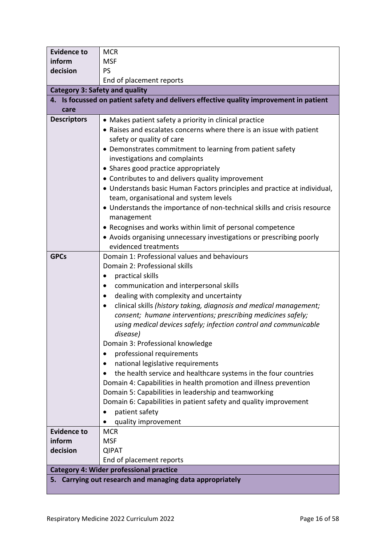| <b>Evidence to</b>                    | <b>MCR</b>                                                                             |  |  |
|---------------------------------------|----------------------------------------------------------------------------------------|--|--|
| inform                                | <b>MSF</b>                                                                             |  |  |
| decision                              | <b>PS</b>                                                                              |  |  |
|                                       | End of placement reports                                                               |  |  |
| <b>Category 3: Safety and quality</b> |                                                                                        |  |  |
|                                       | 4. Is focussed on patient safety and delivers effective quality improvement in patient |  |  |
| care                                  |                                                                                        |  |  |
| <b>Descriptors</b>                    | • Makes patient safety a priority in clinical practice                                 |  |  |
|                                       | • Raises and escalates concerns where there is an issue with patient                   |  |  |
|                                       | safety or quality of care                                                              |  |  |
|                                       | • Demonstrates commitment to learning from patient safety                              |  |  |
|                                       | investigations and complaints                                                          |  |  |
|                                       | • Shares good practice appropriately                                                   |  |  |
|                                       | • Contributes to and delivers quality improvement                                      |  |  |
|                                       | • Understands basic Human Factors principles and practice at individual,               |  |  |
|                                       | team, organisational and system levels                                                 |  |  |
|                                       | • Understands the importance of non-technical skills and crisis resource               |  |  |
|                                       | management                                                                             |  |  |
|                                       | • Recognises and works within limit of personal competence                             |  |  |
|                                       | • Avoids organising unnecessary investigations or prescribing poorly                   |  |  |
|                                       | evidenced treatments                                                                   |  |  |
| <b>GPCs</b>                           | Domain 1: Professional values and behaviours                                           |  |  |
|                                       | Domain 2: Professional skills                                                          |  |  |
|                                       | practical skills                                                                       |  |  |
|                                       | communication and interpersonal skills                                                 |  |  |
|                                       | dealing with complexity and uncertainty                                                |  |  |
|                                       | clinical skills (history taking, diagnosis and medical management;<br>$\bullet$        |  |  |
|                                       | consent; humane interventions; prescribing medicines safely;                           |  |  |
|                                       | using medical devices safely; infection control and communicable                       |  |  |
|                                       | disease)                                                                               |  |  |
|                                       | Domain 3: Professional knowledge                                                       |  |  |
|                                       | professional requirements<br>$\bullet$                                                 |  |  |
|                                       | national legislative requirements                                                      |  |  |
|                                       | the health service and healthcare systems in the four countries                        |  |  |
|                                       | Domain 4: Capabilities in health promotion and illness prevention                      |  |  |
|                                       | Domain 5: Capabilities in leadership and teamworking                                   |  |  |
|                                       | Domain 6: Capabilities in patient safety and quality improvement                       |  |  |
|                                       | patient safety                                                                         |  |  |
|                                       | quality improvement                                                                    |  |  |
| <b>Evidence to</b>                    | <b>MCR</b>                                                                             |  |  |
| inform                                | <b>MSF</b>                                                                             |  |  |
| decision                              | <b>QIPAT</b>                                                                           |  |  |
|                                       | End of placement reports                                                               |  |  |
|                                       | <b>Category 4: Wider professional practice</b>                                         |  |  |
|                                       | 5. Carrying out research and managing data appropriately                               |  |  |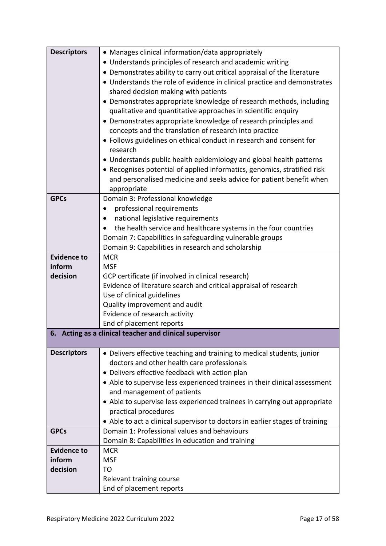| <b>Descriptors</b> | • Manages clinical information/data appropriately                                              |
|--------------------|------------------------------------------------------------------------------------------------|
|                    | • Understands principles of research and academic writing                                      |
|                    | • Demonstrates ability to carry out critical appraisal of the literature                       |
|                    | • Understands the role of evidence in clinical practice and demonstrates                       |
|                    | shared decision making with patients                                                           |
|                    | • Demonstrates appropriate knowledge of research methods, including                            |
|                    | qualitative and quantitative approaches in scientific enquiry                                  |
|                    | • Demonstrates appropriate knowledge of research principles and                                |
|                    | concepts and the translation of research into practice                                         |
|                    | • Follows guidelines on ethical conduct in research and consent for                            |
|                    | research                                                                                       |
|                    | • Understands public health epidemiology and global health patterns                            |
|                    | • Recognises potential of applied informatics, genomics, stratified risk                       |
|                    | and personalised medicine and seeks advice for patient benefit when                            |
|                    | appropriate                                                                                    |
| <b>GPCs</b>        | Domain 3: Professional knowledge                                                               |
|                    | professional requirements                                                                      |
|                    | national legislative requirements                                                              |
|                    | the health service and healthcare systems in the four countries                                |
|                    |                                                                                                |
|                    | Domain 7: Capabilities in safeguarding vulnerable groups                                       |
| <b>Evidence to</b> | Domain 9: Capabilities in research and scholarship<br><b>MCR</b>                               |
| inform             | <b>MSF</b>                                                                                     |
| decision           | GCP certificate (if involved in clinical research)                                             |
|                    |                                                                                                |
|                    | Evidence of literature search and critical appraisal of research<br>Use of clinical guidelines |
|                    | Quality improvement and audit                                                                  |
|                    | Evidence of research activity                                                                  |
|                    | End of placement reports                                                                       |
|                    | 6. Acting as a clinical teacher and clinical supervisor                                        |
|                    |                                                                                                |
| <b>Descriptors</b> | • Delivers effective teaching and training to medical students, junior                         |
|                    | doctors and other health care professionals                                                    |
|                    | • Delivers effective feedback with action plan                                                 |
|                    | • Able to supervise less experienced trainees in their clinical assessment                     |
|                    | and management of patients                                                                     |
|                    | • Able to supervise less experienced trainees in carrying out appropriate                      |
|                    | practical procedures                                                                           |
|                    | • Able to act a clinical supervisor to doctors in earlier stages of training                   |
| <b>GPCs</b>        | Domain 1: Professional values and behaviours                                                   |
|                    | Domain 8: Capabilities in education and training                                               |
| <b>Evidence to</b> | <b>MCR</b>                                                                                     |
| inform             | <b>MSF</b>                                                                                     |
| decision           | TO                                                                                             |
|                    | Relevant training course                                                                       |
|                    | End of placement reports                                                                       |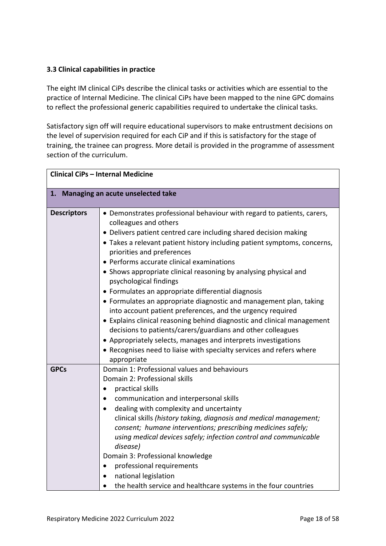### <span id="page-17-0"></span>**3.3 Clinical capabilities in practice**

The eight IM clinical CiPs describe the clinical tasks or activities which are essential to the practice of Internal Medicine. The clinical CiPs have been mapped to the nine GPC domains to reflect the professional generic capabilities required to undertake the clinical tasks.

Satisfactory sign off will require educational supervisors to make entrustment decisions on the level of supervision required for each CiP and if this is satisfactory for the stage of training, the trainee can progress. More detail is provided in the programme of assessment section of the curriculum.

| <b>Clinical CiPs - Internal Medicine</b> |                                                                                                                                                                                                                                                                                                                                                                                                                                                                                                                                                                                                                                                                                                                                                                                                                                                                                                                       |  |
|------------------------------------------|-----------------------------------------------------------------------------------------------------------------------------------------------------------------------------------------------------------------------------------------------------------------------------------------------------------------------------------------------------------------------------------------------------------------------------------------------------------------------------------------------------------------------------------------------------------------------------------------------------------------------------------------------------------------------------------------------------------------------------------------------------------------------------------------------------------------------------------------------------------------------------------------------------------------------|--|
|                                          | 1. Managing an acute unselected take                                                                                                                                                                                                                                                                                                                                                                                                                                                                                                                                                                                                                                                                                                                                                                                                                                                                                  |  |
| <b>Descriptors</b>                       | • Demonstrates professional behaviour with regard to patients, carers,<br>colleagues and others<br>• Delivers patient centred care including shared decision making<br>• Takes a relevant patient history including patient symptoms, concerns,<br>priorities and preferences<br>• Performs accurate clinical examinations<br>• Shows appropriate clinical reasoning by analysing physical and<br>psychological findings<br>• Formulates an appropriate differential diagnosis<br>• Formulates an appropriate diagnostic and management plan, taking<br>into account patient preferences, and the urgency required<br>• Explains clinical reasoning behind diagnostic and clinical management<br>decisions to patients/carers/guardians and other colleagues<br>• Appropriately selects, manages and interprets investigations<br>• Recognises need to liaise with specialty services and refers where<br>appropriate |  |
| <b>GPCs</b>                              | Domain 1: Professional values and behaviours<br>Domain 2: Professional skills<br>practical skills<br>communication and interpersonal skills<br>dealing with complexity and uncertainty<br>clinical skills (history taking, diagnosis and medical management;<br>consent; humane interventions; prescribing medicines safely;<br>using medical devices safely; infection control and communicable<br>disease)<br>Domain 3: Professional knowledge<br>professional requirements<br>national legislation<br>the health service and healthcare systems in the four countries                                                                                                                                                                                                                                                                                                                                              |  |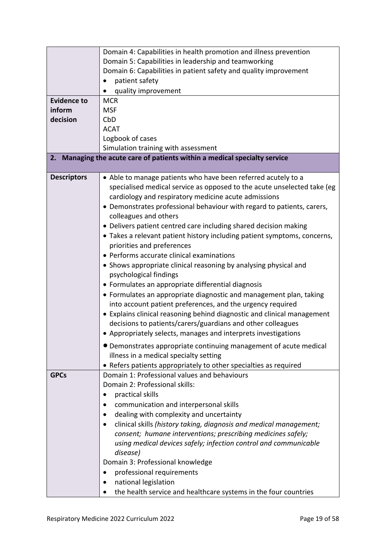|                    | Domain 4: Capabilities in health promotion and illness prevention                                                                                                                                        |
|--------------------|----------------------------------------------------------------------------------------------------------------------------------------------------------------------------------------------------------|
|                    | Domain 5: Capabilities in leadership and teamworking                                                                                                                                                     |
|                    | Domain 6: Capabilities in patient safety and quality improvement                                                                                                                                         |
|                    | patient safety                                                                                                                                                                                           |
|                    | quality improvement                                                                                                                                                                                      |
| <b>Evidence to</b> | <b>MCR</b>                                                                                                                                                                                               |
| inform             | <b>MSF</b>                                                                                                                                                                                               |
| decision           | CbD                                                                                                                                                                                                      |
|                    | <b>ACAT</b>                                                                                                                                                                                              |
|                    | Logbook of cases                                                                                                                                                                                         |
|                    | Simulation training with assessment                                                                                                                                                                      |
|                    | 2. Managing the acute care of patients within a medical specialty service                                                                                                                                |
| <b>Descriptors</b> | • Able to manage patients who have been referred acutely to a<br>specialised medical service as opposed to the acute unselected take (eg<br>cardiology and respiratory medicine acute admissions         |
|                    | • Demonstrates professional behaviour with regard to patients, carers,<br>colleagues and others                                                                                                          |
|                    | • Delivers patient centred care including shared decision making                                                                                                                                         |
|                    | • Takes a relevant patient history including patient symptoms, concerns,<br>priorities and preferences                                                                                                   |
|                    | • Performs accurate clinical examinations                                                                                                                                                                |
|                    | • Shows appropriate clinical reasoning by analysing physical and<br>psychological findings                                                                                                               |
|                    | • Formulates an appropriate differential diagnosis                                                                                                                                                       |
|                    | • Formulates an appropriate diagnostic and management plan, taking<br>into account patient preferences, and the urgency required                                                                         |
|                    | • Explains clinical reasoning behind diagnostic and clinical management<br>decisions to patients/carers/guardians and other colleagues<br>• Appropriately selects, manages and interprets investigations |
|                    |                                                                                                                                                                                                          |
|                    | • Demonstrates appropriate continuing management of acute medical<br>illness in a medical specialty setting                                                                                              |
|                    | • Refers patients appropriately to other specialties as required                                                                                                                                         |
| <b>GPCs</b>        | Domain 1: Professional values and behaviours                                                                                                                                                             |
|                    | Domain 2: Professional skills:                                                                                                                                                                           |
|                    | practical skills<br>$\bullet$                                                                                                                                                                            |
|                    | communication and interpersonal skills                                                                                                                                                                   |
|                    | dealing with complexity and uncertainty<br>$\bullet$                                                                                                                                                     |
|                    | clinical skills (history taking, diagnosis and medical management;                                                                                                                                       |
|                    | consent; humane interventions; prescribing medicines safely;                                                                                                                                             |
|                    | using medical devices safely; infection control and communicable                                                                                                                                         |
|                    | disease)                                                                                                                                                                                                 |
|                    | Domain 3: Professional knowledge                                                                                                                                                                         |
|                    | professional requirements                                                                                                                                                                                |
|                    | national legislation                                                                                                                                                                                     |
|                    | the health service and healthcare systems in the four countries                                                                                                                                          |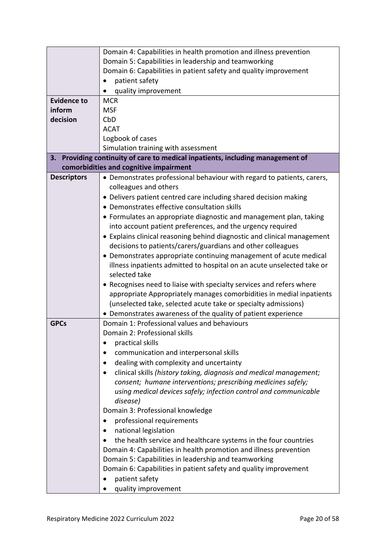|                    | Domain 4: Capabilities in health promotion and illness prevention           |
|--------------------|-----------------------------------------------------------------------------|
|                    | Domain 5: Capabilities in leadership and teamworking                        |
|                    | Domain 6: Capabilities in patient safety and quality improvement            |
|                    | patient safety                                                              |
|                    | quality improvement                                                         |
| <b>Evidence to</b> | <b>MCR</b>                                                                  |
| inform             | <b>MSF</b>                                                                  |
| decision           | CbD                                                                         |
|                    | <b>ACAT</b>                                                                 |
|                    | Logbook of cases                                                            |
|                    | Simulation training with assessment                                         |
| 3.                 | Providing continuity of care to medical inpatients, including management of |
|                    | comorbidities and cognitive impairment                                      |
| <b>Descriptors</b> | • Demonstrates professional behaviour with regard to patients, carers,      |
|                    | colleagues and others                                                       |
|                    | • Delivers patient centred care including shared decision making            |
|                    | • Demonstrates effective consultation skills                                |
|                    | • Formulates an appropriate diagnostic and management plan, taking          |
|                    | into account patient preferences, and the urgency required                  |
|                    | • Explains clinical reasoning behind diagnostic and clinical management     |
|                    | decisions to patients/carers/guardians and other colleagues                 |
|                    | • Demonstrates appropriate continuing management of acute medical           |
|                    | illness inpatients admitted to hospital on an acute unselected take or      |
|                    | selected take                                                               |
|                    | • Recognises need to liaise with specialty services and refers where        |
|                    | appropriate Appropriately manages comorbidities in medial inpatients        |
|                    | (unselected take, selected acute take or specialty admissions)              |
|                    | • Demonstrates awareness of the quality of patient experience               |
| <b>GPCs</b>        | Domain 1: Professional values and behaviours                                |
|                    | Domain 2: Professional skills                                               |
|                    | practical skills                                                            |
|                    | communication and interpersonal skills                                      |
|                    | dealing with complexity and uncertainty                                     |
|                    | clinical skills (history taking, diagnosis and medical management;          |
|                    | consent; humane interventions; prescribing medicines safely;                |
|                    | using medical devices safely; infection control and communicable            |
|                    | disease)                                                                    |
|                    | Domain 3: Professional knowledge                                            |
|                    | professional requirements                                                   |
|                    | national legislation                                                        |
|                    | the health service and healthcare systems in the four countries             |
|                    | Domain 4: Capabilities in health promotion and illness prevention           |
|                    | Domain 5: Capabilities in leadership and teamworking                        |
|                    | Domain 6: Capabilities in patient safety and quality improvement            |
|                    | patient safety                                                              |
|                    | quality improvement                                                         |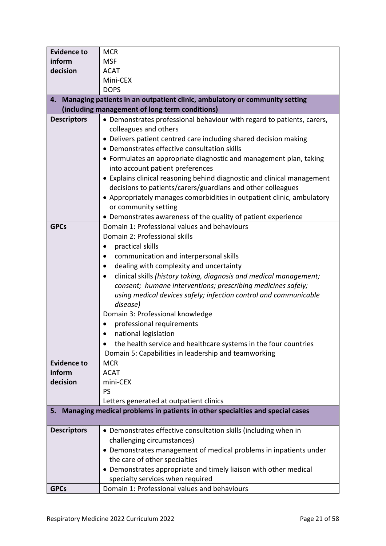| <b>Evidence to</b> | <b>MCR</b>                                                                   |  |  |
|--------------------|------------------------------------------------------------------------------|--|--|
| inform             | <b>MSF</b>                                                                   |  |  |
| decision           | <b>ACAT</b>                                                                  |  |  |
|                    | Mini-CEX                                                                     |  |  |
|                    | <b>DOPS</b>                                                                  |  |  |
| 4.                 | Managing patients in an outpatient clinic, ambulatory or community setting   |  |  |
|                    | (including management of long term conditions)                               |  |  |
| <b>Descriptors</b> | • Demonstrates professional behaviour with regard to patients, carers,       |  |  |
|                    | colleagues and others                                                        |  |  |
|                    | • Delivers patient centred care including shared decision making             |  |  |
|                    | • Demonstrates effective consultation skills                                 |  |  |
|                    | • Formulates an appropriate diagnostic and management plan, taking           |  |  |
|                    | into account patient preferences                                             |  |  |
|                    | • Explains clinical reasoning behind diagnostic and clinical management      |  |  |
|                    | decisions to patients/carers/guardians and other colleagues                  |  |  |
|                    | • Appropriately manages comorbidities in outpatient clinic, ambulatory       |  |  |
|                    | or community setting                                                         |  |  |
|                    | • Demonstrates awareness of the quality of patient experience                |  |  |
| <b>GPCs</b>        | Domain 1: Professional values and behaviours                                 |  |  |
|                    | Domain 2: Professional skills                                                |  |  |
|                    | practical skills                                                             |  |  |
|                    | communication and interpersonal skills                                       |  |  |
|                    | dealing with complexity and uncertainty                                      |  |  |
|                    | clinical skills (history taking, diagnosis and medical management;           |  |  |
|                    | consent; humane interventions; prescribing medicines safely;                 |  |  |
|                    | using medical devices safely; infection control and communicable             |  |  |
|                    | disease)                                                                     |  |  |
|                    | Domain 3: Professional knowledge                                             |  |  |
|                    | professional requirements                                                    |  |  |
|                    | national legislation                                                         |  |  |
|                    | the health service and healthcare systems in the four countries              |  |  |
|                    | Domain 5: Capabilities in leadership and teamworking                         |  |  |
| <b>Evidence to</b> | <b>MCR</b>                                                                   |  |  |
| inform             | <b>ACAT</b>                                                                  |  |  |
| decision           | mini-CEX                                                                     |  |  |
|                    | PS                                                                           |  |  |
|                    | Letters generated at outpatient clinics                                      |  |  |
| 5.                 | Managing medical problems in patients in other specialties and special cases |  |  |
| <b>Descriptors</b> | • Demonstrates effective consultation skills (including when in              |  |  |
|                    | challenging circumstances)                                                   |  |  |
|                    | • Demonstrates management of medical problems in inpatients under            |  |  |
|                    | the care of other specialties                                                |  |  |
|                    | • Demonstrates appropriate and timely liaison with other medical             |  |  |
|                    | specialty services when required                                             |  |  |
| <b>GPCs</b>        | Domain 1: Professional values and behaviours                                 |  |  |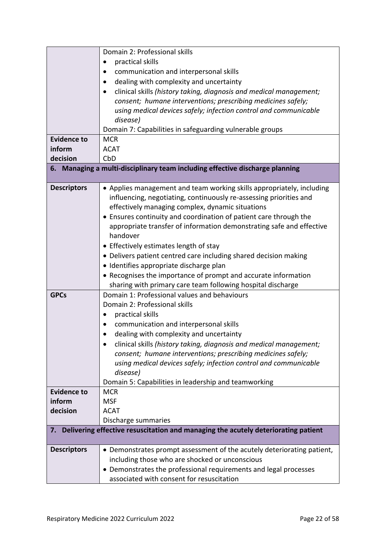|                    | Domain 2: Professional skills                                                     |  |  |
|--------------------|-----------------------------------------------------------------------------------|--|--|
|                    | practical skills                                                                  |  |  |
|                    | communication and interpersonal skills                                            |  |  |
|                    | dealing with complexity and uncertainty                                           |  |  |
|                    | clinical skills (history taking, diagnosis and medical management;                |  |  |
|                    | consent; humane interventions; prescribing medicines safely;                      |  |  |
|                    | using medical devices safely; infection control and communicable                  |  |  |
|                    | disease)                                                                          |  |  |
|                    | Domain 7: Capabilities in safeguarding vulnerable groups                          |  |  |
| <b>Evidence to</b> | <b>MCR</b>                                                                        |  |  |
| inform             | <b>ACAT</b>                                                                       |  |  |
| decision           | CbD                                                                               |  |  |
|                    | 6. Managing a multi-disciplinary team including effective discharge planning      |  |  |
|                    |                                                                                   |  |  |
| <b>Descriptors</b> | • Applies management and team working skills appropriately, including             |  |  |
|                    | influencing, negotiating, continuously re-assessing priorities and                |  |  |
|                    | effectively managing complex, dynamic situations                                  |  |  |
|                    | • Ensures continuity and coordination of patient care through the                 |  |  |
|                    | appropriate transfer of information demonstrating safe and effective              |  |  |
|                    | handover                                                                          |  |  |
|                    | • Effectively estimates length of stay                                            |  |  |
|                    | • Delivers patient centred care including shared decision making                  |  |  |
|                    | · Identifies appropriate discharge plan                                           |  |  |
|                    | • Recognises the importance of prompt and accurate information                    |  |  |
|                    | sharing with primary care team following hospital discharge                       |  |  |
| <b>GPCs</b>        | Domain 1: Professional values and behaviours                                      |  |  |
|                    | Domain 2: Professional skills                                                     |  |  |
|                    | practical skills                                                                  |  |  |
|                    | communication and interpersonal skills                                            |  |  |
|                    | dealing with complexity and uncertainty                                           |  |  |
|                    | clinical skills (history taking, diagnosis and medical management;                |  |  |
|                    | consent; humane interventions; prescribing medicines safely;                      |  |  |
|                    | using medical devices safely; infection control and communicable                  |  |  |
|                    | disease)                                                                          |  |  |
|                    | Domain 5: Capabilities in leadership and teamworking                              |  |  |
| <b>Evidence to</b> | <b>MCR</b>                                                                        |  |  |
| inform             | <b>MSF</b>                                                                        |  |  |
| decision           | <b>ACAT</b>                                                                       |  |  |
|                    | Discharge summaries                                                               |  |  |
| 7.                 | Delivering effective resuscitation and managing the acutely deteriorating patient |  |  |
| <b>Descriptors</b> | • Demonstrates prompt assessment of the acutely deteriorating patient,            |  |  |
|                    | including those who are shocked or unconscious                                    |  |  |
|                    | • Demonstrates the professional requirements and legal processes                  |  |  |
|                    | associated with consent for resuscitation                                         |  |  |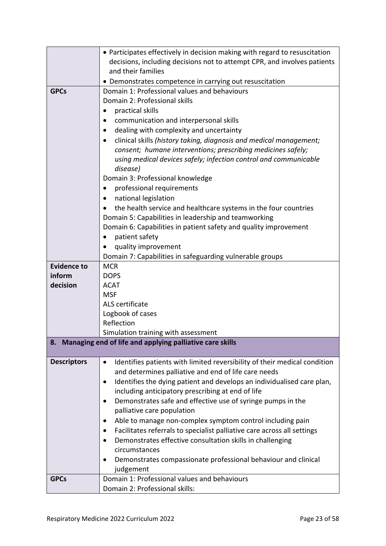|                    | • Participates effectively in decision making with regard to resuscitation             |  |
|--------------------|----------------------------------------------------------------------------------------|--|
|                    | decisions, including decisions not to attempt CPR, and involves patients               |  |
|                    | and their families                                                                     |  |
|                    | • Demonstrates competence in carrying out resuscitation                                |  |
| <b>GPCs</b>        | Domain 1: Professional values and behaviours                                           |  |
|                    | Domain 2: Professional skills                                                          |  |
|                    | practical skills<br>$\bullet$                                                          |  |
|                    | communication and interpersonal skills                                                 |  |
|                    | dealing with complexity and uncertainty<br>$\bullet$                                   |  |
|                    | clinical skills (history taking, diagnosis and medical management;                     |  |
|                    | consent; humane interventions; prescribing medicines safely;                           |  |
|                    | using medical devices safely; infection control and communicable                       |  |
|                    | disease)                                                                               |  |
|                    | Domain 3: Professional knowledge                                                       |  |
|                    | professional requirements                                                              |  |
|                    | national legislation                                                                   |  |
|                    | the health service and healthcare systems in the four countries                        |  |
|                    | Domain 5: Capabilities in leadership and teamworking                                   |  |
|                    | Domain 6: Capabilities in patient safety and quality improvement                       |  |
|                    | patient safety                                                                         |  |
|                    | quality improvement                                                                    |  |
|                    | Domain 7: Capabilities in safeguarding vulnerable groups                               |  |
| <b>Evidence to</b> | <b>MCR</b>                                                                             |  |
| inform             | <b>DOPS</b>                                                                            |  |
| decision           | <b>ACAT</b>                                                                            |  |
|                    | <b>MSF</b>                                                                             |  |
|                    | ALS certificate                                                                        |  |
|                    | Logbook of cases                                                                       |  |
|                    | Reflection                                                                             |  |
|                    | Simulation training with assessment                                                    |  |
|                    | 8. Managing end of life and applying palliative care skills                            |  |
| <b>Descriptors</b> | Identifies patients with limited reversibility of their medical condition<br>$\bullet$ |  |
|                    | and determines palliative and end of life care needs                                   |  |
|                    | Identifies the dying patient and develops an individualised care plan,                 |  |
|                    | including anticipatory prescribing at end of life                                      |  |
|                    | Demonstrates safe and effective use of syringe pumps in the                            |  |
|                    | palliative care population                                                             |  |
|                    | Able to manage non-complex symptom control including pain                              |  |
|                    | Facilitates referrals to specialist palliative care across all settings                |  |
|                    | Demonstrates effective consultation skills in challenging<br>$\bullet$                 |  |
|                    | circumstances                                                                          |  |
|                    | Demonstrates compassionate professional behaviour and clinical                         |  |
|                    | judgement                                                                              |  |
| <b>GPCs</b>        | Domain 1: Professional values and behaviours                                           |  |
|                    | Domain 2: Professional skills:                                                         |  |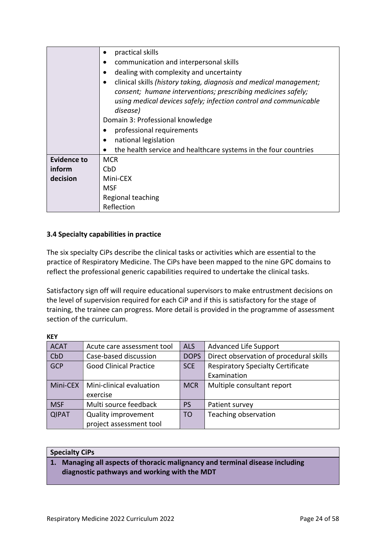|                    | practical skills                                                   |  |  |
|--------------------|--------------------------------------------------------------------|--|--|
|                    | communication and interpersonal skills                             |  |  |
|                    | dealing with complexity and uncertainty                            |  |  |
|                    | clinical skills (history taking, diagnosis and medical management; |  |  |
|                    | consent; humane interventions; prescribing medicines safely;       |  |  |
|                    | using medical devices safely; infection control and communicable   |  |  |
|                    | disease)                                                           |  |  |
|                    | Domain 3: Professional knowledge                                   |  |  |
|                    | professional requirements                                          |  |  |
|                    | national legislation                                               |  |  |
|                    | the health service and healthcare systems in the four countries    |  |  |
| <b>Evidence to</b> | <b>MCR</b>                                                         |  |  |
| inform             | CbD                                                                |  |  |
| decision           | Mini-CEX                                                           |  |  |
|                    | MSF                                                                |  |  |
|                    | Regional teaching                                                  |  |  |
|                    | Reflection                                                         |  |  |

### <span id="page-23-0"></span>**3.4 Specialty capabilities in practice**

The six specialty CiPs describe the clinical tasks or activities which are essential to the practice of Respiratory Medicine. The CiPs have been mapped to the nine GPC domains to reflect the professional generic capabilities required to undertake the clinical tasks.

Satisfactory sign off will require educational supervisors to make entrustment decisions on the level of supervision required for each CiP and if this is satisfactory for the stage of training, the trainee can progress. More detail is provided in the programme of assessment section of the curriculum.

| <b>KEY</b>       |                               |                |                                          |
|------------------|-------------------------------|----------------|------------------------------------------|
| <b>ACAT</b>      | Acute care assessment tool    | <b>ALS</b>     | Advanced Life Support                    |
| C <sub>b</sub> D | Case-based discussion         | <b>DOPS</b>    | Direct observation of procedural skills  |
| GCP              | <b>Good Clinical Practice</b> | <b>SCE</b>     | <b>Respiratory Specialty Certificate</b> |
|                  |                               |                | Examination                              |
| Mini-CEX         | Mini-clinical evaluation      | <b>MCR</b>     | Multiple consultant report               |
|                  | exercise                      |                |                                          |
| <b>MSF</b>       | Multi source feedback         | <b>PS</b>      | Patient survey                           |
| <b>QIPAT</b>     | <b>Quality improvement</b>    | T <sub>O</sub> | Teaching observation                     |
|                  | project assessment tool       |                |                                          |

### **Specialty CiPs**

### **1. Managing all aspects of thoracic malignancy and terminal disease including diagnostic pathways and working with the MDT**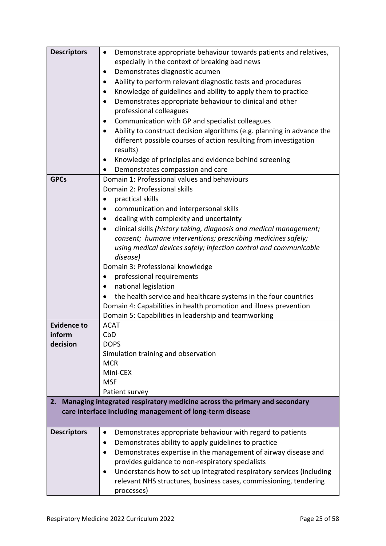| <b>Descriptors</b> | Demonstrate appropriate behaviour towards patients and relatives,<br>$\bullet$      |  |  |  |
|--------------------|-------------------------------------------------------------------------------------|--|--|--|
|                    | especially in the context of breaking bad news                                      |  |  |  |
|                    | Demonstrates diagnostic acumen<br>$\bullet$                                         |  |  |  |
|                    | Ability to perform relevant diagnostic tests and procedures                         |  |  |  |
|                    | Knowledge of guidelines and ability to apply them to practice<br>$\bullet$          |  |  |  |
|                    | Demonstrates appropriate behaviour to clinical and other<br>$\bullet$               |  |  |  |
|                    | professional colleagues                                                             |  |  |  |
|                    | Communication with GP and specialist colleagues                                     |  |  |  |
|                    | Ability to construct decision algorithms (e.g. planning in advance the<br>$\bullet$ |  |  |  |
|                    | different possible courses of action resulting from investigation                   |  |  |  |
|                    | results)                                                                            |  |  |  |
|                    | Knowledge of principles and evidence behind screening                               |  |  |  |
|                    | Demonstrates compassion and care                                                    |  |  |  |
| <b>GPCs</b>        | Domain 1: Professional values and behaviours                                        |  |  |  |
|                    | Domain 2: Professional skills                                                       |  |  |  |
|                    | practical skills                                                                    |  |  |  |
|                    | communication and interpersonal skills                                              |  |  |  |
|                    | dealing with complexity and uncertainty                                             |  |  |  |
|                    | clinical skills (history taking, diagnosis and medical management;                  |  |  |  |
|                    | consent; humane interventions; prescribing medicines safely;                        |  |  |  |
|                    | using medical devices safely; infection control and communicable                    |  |  |  |
|                    | disease)                                                                            |  |  |  |
|                    | Domain 3: Professional knowledge                                                    |  |  |  |
|                    | professional requirements                                                           |  |  |  |
|                    | national legislation<br>$\bullet$                                                   |  |  |  |
|                    | the health service and healthcare systems in the four countries                     |  |  |  |
|                    | Domain 4: Capabilities in health promotion and illness prevention                   |  |  |  |
| <b>Evidence to</b> | Domain 5: Capabilities in leadership and teamworking                                |  |  |  |
| inform             | <b>ACAT</b><br>CbD                                                                  |  |  |  |
| decision           | <b>DOPS</b>                                                                         |  |  |  |
|                    | Simulation training and observation                                                 |  |  |  |
|                    | <b>MCR</b>                                                                          |  |  |  |
|                    | Mini-CEX                                                                            |  |  |  |
|                    | <b>MSF</b>                                                                          |  |  |  |
|                    | Patient survey                                                                      |  |  |  |
| 2.                 | Managing integrated respiratory medicine across the primary and secondary           |  |  |  |
|                    | care interface including management of long-term disease                            |  |  |  |
|                    |                                                                                     |  |  |  |
| <b>Descriptors</b> | Demonstrates appropriate behaviour with regard to patients<br>$\bullet$             |  |  |  |
|                    | Demonstrates ability to apply guidelines to practice                                |  |  |  |
|                    | Demonstrates expertise in the management of airway disease and                      |  |  |  |
|                    | provides guidance to non-respiratory specialists                                    |  |  |  |
|                    | Understands how to set up integrated respiratory services (including                |  |  |  |
|                    | relevant NHS structures, business cases, commissioning, tendering                   |  |  |  |
|                    | processes)                                                                          |  |  |  |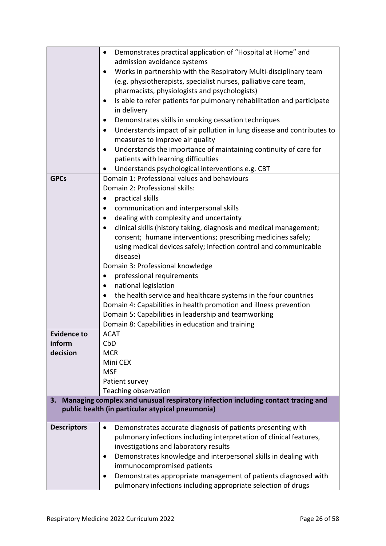|                    | Demonstrates practical application of "Hospital at Home" and                        |  |  |  |
|--------------------|-------------------------------------------------------------------------------------|--|--|--|
|                    | admission avoidance systems                                                         |  |  |  |
|                    | Works in partnership with the Respiratory Multi-disciplinary team                   |  |  |  |
|                    | (e.g. physiotherapists, specialist nurses, palliative care team,                    |  |  |  |
|                    | pharmacists, physiologists and psychologists)                                       |  |  |  |
|                    | Is able to refer patients for pulmonary rehabilitation and participate              |  |  |  |
|                    | in delivery                                                                         |  |  |  |
|                    | Demonstrates skills in smoking cessation techniques                                 |  |  |  |
|                    | Understands impact of air pollution in lung disease and contributes to<br>$\bullet$ |  |  |  |
|                    | measures to improve air quality                                                     |  |  |  |
|                    | Understands the importance of maintaining continuity of care for                    |  |  |  |
|                    | patients with learning difficulties                                                 |  |  |  |
|                    | Understands psychological interventions e.g. CBT                                    |  |  |  |
| <b>GPCs</b>        | Domain 1: Professional values and behaviours                                        |  |  |  |
|                    | Domain 2: Professional skills:                                                      |  |  |  |
|                    | practical skills                                                                    |  |  |  |
|                    | communication and interpersonal skills                                              |  |  |  |
|                    | dealing with complexity and uncertainty                                             |  |  |  |
|                    | clinical skills (history taking, diagnosis and medical management;<br>$\bullet$     |  |  |  |
|                    | consent; humane interventions; prescribing medicines safely;                        |  |  |  |
|                    | using medical devices safely; infection control and communicable                    |  |  |  |
|                    | disease)                                                                            |  |  |  |
|                    | Domain 3: Professional knowledge                                                    |  |  |  |
|                    | professional requirements                                                           |  |  |  |
|                    | national legislation<br>$\bullet$                                                   |  |  |  |
|                    | the health service and healthcare systems in the four countries                     |  |  |  |
|                    | Domain 4: Capabilities in health promotion and illness prevention                   |  |  |  |
|                    | Domain 5: Capabilities in leadership and teamworking                                |  |  |  |
|                    | Domain 8: Capabilities in education and training                                    |  |  |  |
| <b>Evidence to</b> | <b>ACAT</b>                                                                         |  |  |  |
| inform             | CbD                                                                                 |  |  |  |
| decision           | <b>MCR</b>                                                                          |  |  |  |
|                    | Mini CEX                                                                            |  |  |  |
|                    | <b>MSF</b>                                                                          |  |  |  |
|                    | Patient survey                                                                      |  |  |  |
|                    | Teaching observation                                                                |  |  |  |
| 3.                 | Managing complex and unusual respiratory infection including contact tracing and    |  |  |  |
|                    | public health (in particular atypical pneumonia)                                    |  |  |  |
|                    |                                                                                     |  |  |  |
| <b>Descriptors</b> | Demonstrates accurate diagnosis of patients presenting with<br>$\bullet$            |  |  |  |
|                    | pulmonary infections including interpretation of clinical features,                 |  |  |  |
|                    | investigations and laboratory results                                               |  |  |  |
|                    | Demonstrates knowledge and interpersonal skills in dealing with<br>$\bullet$        |  |  |  |
|                    | immunocompromised patients                                                          |  |  |  |
|                    | Demonstrates appropriate management of patients diagnosed with<br>$\bullet$         |  |  |  |
|                    | pulmonary infections including appropriate selection of drugs                       |  |  |  |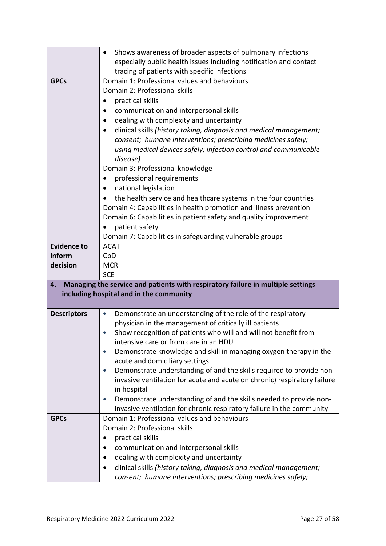|                    | Shows awareness of broader aspects of pulmonary infections                                                                         |
|--------------------|------------------------------------------------------------------------------------------------------------------------------------|
|                    | especially public health issues including notification and contact                                                                 |
|                    | tracing of patients with specific infections                                                                                       |
| <b>GPCs</b>        | Domain 1: Professional values and behaviours                                                                                       |
|                    | Domain 2: Professional skills                                                                                                      |
|                    | practical skills                                                                                                                   |
|                    | communication and interpersonal skills                                                                                             |
|                    | dealing with complexity and uncertainty                                                                                            |
|                    | clinical skills (history taking, diagnosis and medical management;                                                                 |
|                    | consent; humane interventions; prescribing medicines safely;                                                                       |
|                    | using medical devices safely; infection control and communicable                                                                   |
|                    | disease)                                                                                                                           |
|                    | Domain 3: Professional knowledge                                                                                                   |
|                    | professional requirements                                                                                                          |
|                    | national legislation<br>$\bullet$                                                                                                  |
|                    | the health service and healthcare systems in the four countries                                                                    |
|                    | Domain 4: Capabilities in health promotion and illness prevention                                                                  |
|                    | Domain 6: Capabilities in patient safety and quality improvement                                                                   |
|                    | patient safety                                                                                                                     |
|                    | Domain 7: Capabilities in safeguarding vulnerable groups                                                                           |
| <b>Evidence to</b> | <b>ACAT</b>                                                                                                                        |
| inform             | CbD<br><b>MCR</b>                                                                                                                  |
| decision           |                                                                                                                                    |
|                    |                                                                                                                                    |
|                    | <b>SCE</b>                                                                                                                         |
| 4.                 | Managing the service and patients with respiratory failure in multiple settings                                                    |
|                    | including hospital and in the community                                                                                            |
| <b>Descriptors</b> | Demonstrate an understanding of the role of the respiratory<br>$\bullet$                                                           |
|                    | physician in the management of critically ill patients                                                                             |
|                    | Show recognition of patients who will and will not benefit from                                                                    |
|                    | intensive care or from care in an HDU                                                                                              |
|                    | Demonstrate knowledge and skill in managing oxygen therapy in the<br>$\bullet$                                                     |
|                    | acute and domiciliary settings                                                                                                     |
|                    | Demonstrate understanding of and the skills required to provide non-                                                               |
|                    | invasive ventilation for acute and acute on chronic) respiratory failure                                                           |
|                    | in hospital                                                                                                                        |
|                    | Demonstrate understanding of and the skills needed to provide non-<br>$\bullet$                                                    |
|                    | invasive ventilation for chronic respiratory failure in the community                                                              |
| <b>GPCs</b>        | Domain 1: Professional values and behaviours                                                                                       |
|                    | Domain 2: Professional skills                                                                                                      |
|                    | practical skills                                                                                                                   |
|                    | communication and interpersonal skills                                                                                             |
|                    | dealing with complexity and uncertainty                                                                                            |
|                    | clinical skills (history taking, diagnosis and medical management;<br>consent; humane interventions; prescribing medicines safely; |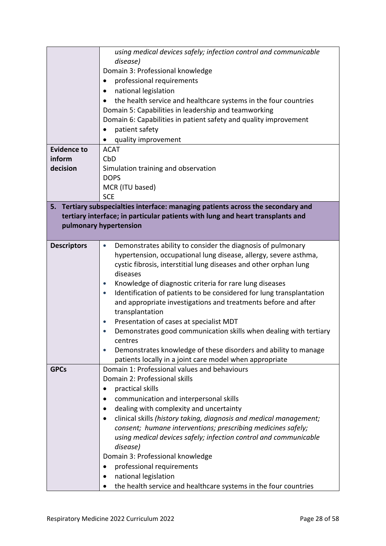|                    | using medical devices safely; infection control and communicable                        |
|--------------------|-----------------------------------------------------------------------------------------|
|                    | disease)<br>Domain 3: Professional knowledge                                            |
|                    | professional requirements                                                               |
|                    | national legislation<br>٠                                                               |
|                    | the health service and healthcare systems in the four countries                         |
|                    | Domain 5: Capabilities in leadership and teamworking                                    |
|                    | Domain 6: Capabilities in patient safety and quality improvement                        |
|                    | patient safety<br>$\bullet$                                                             |
|                    | quality improvement                                                                     |
| <b>Evidence to</b> | <b>ACAT</b>                                                                             |
| inform             | CbD                                                                                     |
| decision           | Simulation training and observation                                                     |
|                    | <b>DOPS</b>                                                                             |
|                    | MCR (ITU based)                                                                         |
|                    | <b>SCE</b>                                                                              |
| 5.                 | Tertiary subspecialties interface: managing patients across the secondary and           |
|                    | tertiary interface; in particular patients with lung and heart transplants and          |
|                    | pulmonary hypertension                                                                  |
|                    |                                                                                         |
| <b>Descriptors</b> | Demonstrates ability to consider the diagnosis of pulmonary<br>$\bullet$                |
|                    | hypertension, occupational lung disease, allergy, severe asthma,                        |
|                    | cystic fibrosis, interstitial lung diseases and other orphan lung                       |
|                    | diseases                                                                                |
|                    | Knowledge of diagnostic criteria for rare lung diseases                                 |
|                    | Identification of patients to be considered for lung transplantation<br>$\bullet$       |
|                    | and appropriate investigations and treatments before and after                          |
|                    | transplantation                                                                         |
|                    | Presentation of cases at specialist MDT                                                 |
|                    | Demonstrates good communication skills when dealing with tertiary                       |
|                    | centres                                                                                 |
|                    | Demonstrates knowledge of these disorders and ability to manage                         |
|                    | patients locally in a joint care model when appropriate                                 |
| <b>GPCs</b>        | Domain 1: Professional values and behaviours<br>Domain 2: Professional skills           |
|                    |                                                                                         |
|                    | practical skills                                                                        |
|                    | communication and interpersonal skills                                                  |
|                    | dealing with complexity and uncertainty                                                 |
|                    | clinical skills (history taking, diagnosis and medical management;                      |
|                    | consent; humane interventions; prescribing medicines safely;                            |
|                    | using medical devices safely; infection control and communicable<br>disease)            |
|                    | Domain 3: Professional knowledge                                                        |
|                    | professional requirements                                                               |
|                    |                                                                                         |
|                    | national legislation<br>the health service and healthcare systems in the four countries |
|                    |                                                                                         |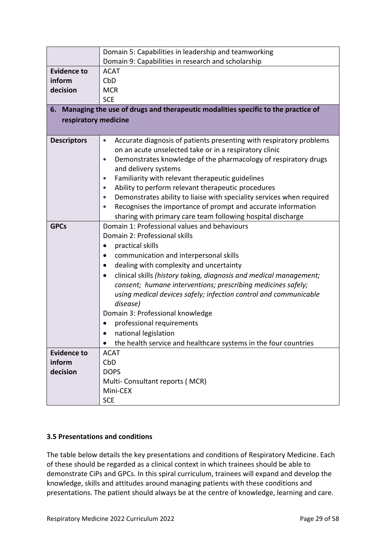|                      | Domain 5: Capabilities in leadership and teamworking                             |
|----------------------|----------------------------------------------------------------------------------|
|                      | Domain 9: Capabilities in research and scholarship                               |
| <b>Evidence to</b>   | <b>ACAT</b>                                                                      |
| inform               | CbD                                                                              |
| decision             | <b>MCR</b>                                                                       |
|                      | <b>SCE</b>                                                                       |
| 6.                   | Managing the use of drugs and therapeutic modalities specific to the practice of |
| respiratory medicine |                                                                                  |
|                      |                                                                                  |
| <b>Descriptors</b>   | Accurate diagnosis of patients presenting with respiratory problems<br>$\bullet$ |
|                      | on an acute unselected take or in a respiratory clinic                           |
|                      | Demonstrates knowledge of the pharmacology of respiratory drugs<br>$\bullet$     |
|                      | and delivery systems                                                             |
|                      | Familiarity with relevant therapeutic guidelines                                 |
|                      | Ability to perform relevant therapeutic procedures                               |
|                      | Demonstrates ability to liaise with speciality services when required            |
|                      | Recognises the importance of prompt and accurate information                     |
|                      | sharing with primary care team following hospital discharge                      |
| <b>GPCs</b>          | Domain 1: Professional values and behaviours                                     |
|                      | Domain 2: Professional skills                                                    |
|                      | practical skills                                                                 |
|                      | communication and interpersonal skills                                           |
|                      | dealing with complexity and uncertainty                                          |
|                      | clinical skills (history taking, diagnosis and medical management;               |
|                      | consent; humane interventions; prescribing medicines safely;                     |
|                      | using medical devices safely; infection control and communicable                 |
|                      | disease)                                                                         |
|                      | Domain 3: Professional knowledge                                                 |
|                      | professional requirements                                                        |
|                      | national legislation                                                             |
|                      | the health service and healthcare systems in the four countries                  |
| <b>Evidence to</b>   | <b>ACAT</b>                                                                      |
| inform               | CbD                                                                              |
| decision             | <b>DOPS</b>                                                                      |
|                      | Multi-Consultant reports (MCR)                                                   |
|                      | Mini-CEX                                                                         |
|                      | <b>SCE</b>                                                                       |

### <span id="page-28-0"></span>**3.5 Presentations and conditions**

The table below details the key presentations and conditions of Respiratory Medicine. Each of these should be regarded as a clinical context in which trainees should be able to demonstrate CiPs and GPCs. In this spiral curriculum, trainees will expand and develop the knowledge, skills and attitudes around managing patients with these conditions and presentations. The patient should always be at the centre of knowledge, learning and care.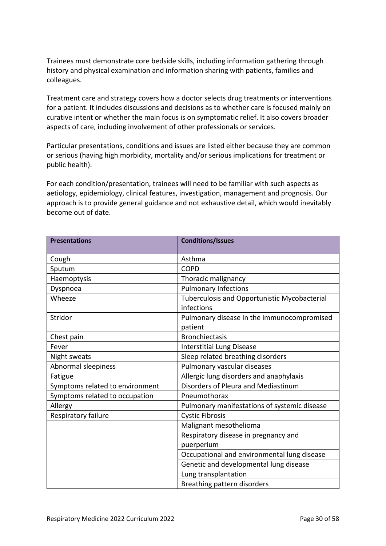Trainees must demonstrate core bedside skills, including information gathering through history and physical examination and information sharing with patients, families and colleagues.

Treatment care and strategy covers how a doctor selects drug treatments or interventions for a patient. It includes discussions and decisions as to whether care is focused mainly on curative intent or whether the main focus is on symptomatic relief. It also covers broader aspects of care, including involvement of other professionals or services.

Particular presentations, conditions and issues are listed either because they are common or serious (having high morbidity, mortality and/or serious implications for treatment or public health).

For each condition/presentation, trainees will need to be familiar with such aspects as aetiology, epidemiology, clinical features, investigation, management and prognosis. Our approach is to provide general guidance and not exhaustive detail, which would inevitably become out of date.

| <b>Presentations</b>            | <b>Conditions/Issues</b>                                   |
|---------------------------------|------------------------------------------------------------|
| Cough                           | Asthma                                                     |
| Sputum                          | <b>COPD</b>                                                |
| Haemoptysis                     | Thoracic malignancy                                        |
| Dyspnoea                        | <b>Pulmonary Infections</b>                                |
| Wheeze                          | Tuberculosis and Opportunistic Mycobacterial<br>infections |
| Stridor                         | Pulmonary disease in the immunocompromised                 |
|                                 | patient                                                    |
| Chest pain                      | <b>Bronchiectasis</b>                                      |
| Fever                           | <b>Interstitial Lung Disease</b>                           |
| Night sweats                    | Sleep related breathing disorders                          |
| Abnormal sleepiness             | Pulmonary vascular diseases                                |
| Fatigue                         | Allergic lung disorders and anaphylaxis                    |
| Symptoms related to environment | Disorders of Pleura and Mediastinum                        |
| Symptoms related to occupation  | Pneumothorax                                               |
| Allergy                         | Pulmonary manifestations of systemic disease               |
| Respiratory failure             | <b>Cystic Fibrosis</b>                                     |
|                                 | Malignant mesothelioma                                     |
|                                 | Respiratory disease in pregnancy and                       |
|                                 | puerperium                                                 |
|                                 | Occupational and environmental lung disease                |
|                                 | Genetic and developmental lung disease                     |
|                                 | Lung transplantation                                       |
|                                 | Breathing pattern disorders                                |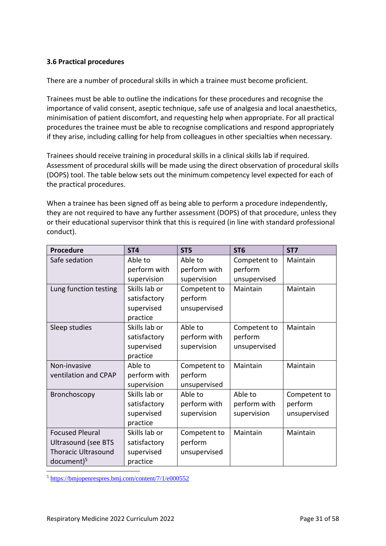### <span id="page-30-0"></span>**3.6 Practical procedures**

There are a number of procedural skills in which a trainee must become proficient.

Trainees must be able to outline the indications for these procedures and recognise the importance of valid consent, aseptic technique, safe use of analgesia and local anaesthetics, minimisation of patient discomfort, and requesting help when appropriate. For all practical procedures the trainee must be able to recognise complications and respond appropriately if they arise, including calling for help from colleagues in other specialties when necessary.

Trainees should receive training in procedural skills in a clinical skills lab if required. Assessment of procedural skills will be made using the direct observation of procedural skills (DOPS) tool. The table below sets out the minimum competency level expected for each of the practical procedures.

When a trainee has been signed off as being able to perform a procedure independently, they are not required to have any further assessment (DOPS) of that procedure, unless they or their educational supervisor think that this is required (in line with standard professional conduct).

| <b>Procedure</b>           | ST <sub>4</sub> | ST <sub>5</sub> | ST <sub>6</sub> | ST7          |
|----------------------------|-----------------|-----------------|-----------------|--------------|
| Safe sedation              | Able to         | Able to         | Competent to    | Maintain     |
|                            | perform with    | perform with    | perform         |              |
|                            | supervision     | supervision     | unsupervised    |              |
| Lung function testing      | Skills lab or   | Competent to    | Maintain        | Maintain     |
|                            | satisfactory    | perform         |                 |              |
|                            | supervised      | unsupervised    |                 |              |
|                            | practice        |                 |                 |              |
| Sleep studies              | Skills lab or   | Able to         | Competent to    | Maintain     |
|                            | satisfactory    | perform with    | perform         |              |
|                            | supervised      | supervision     | unsupervised    |              |
|                            | practice        |                 |                 |              |
| Non-invasive               | Able to         | Competent to    | Maintain        | Maintain     |
| ventilation and CPAP       | perform with    | perform         |                 |              |
|                            | supervision     | unsupervised    |                 |              |
| Bronchoscopy               | Skills lab or   | Able to         | Able to         | Competent to |
|                            | satisfactory    | perform with    | perform with    | perform      |
|                            | supervised      | supervision     | supervision     | unsupervised |
|                            | practice        |                 |                 |              |
| <b>Focused Pleural</b>     | Skills lab or   | Competent to    | Maintain        | Maintain     |
| <b>Ultrasound (see BTS</b> | satisfactory    | perform         |                 |              |
| <b>Thoracic Ultrasound</b> | supervised      | unsupervised    |                 |              |
| $document)^5$              | practice        |                 |                 |              |

<sup>5</sup> <https://bmjopenrespres.bmj.com/content/7/1/e000552>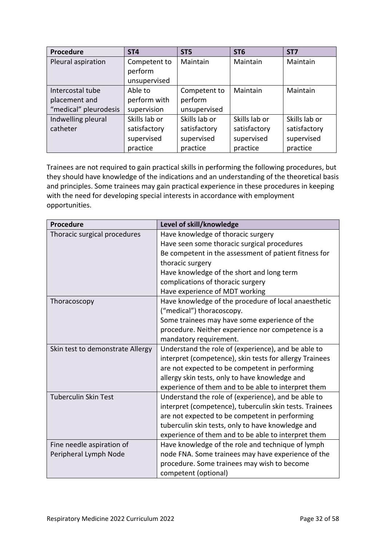| Procedure             | ST <sub>4</sub> | ST <sub>5</sub> | ST <sub>6</sub> | ST <sub>7</sub> |
|-----------------------|-----------------|-----------------|-----------------|-----------------|
| Pleural aspiration    | Competent to    | Maintain        | Maintain        | Maintain        |
|                       | perform         |                 |                 |                 |
|                       | unsupervised    |                 |                 |                 |
| Intercostal tube      | Able to         | Competent to    | Maintain        | Maintain        |
| placement and         | perform with    | perform         |                 |                 |
| "medical" pleurodesis | supervision     | unsupervised    |                 |                 |
| Indwelling pleural    | Skills lab or   | Skills lab or   | Skills lab or   | Skills lab or   |
| catheter              | satisfactory    | satisfactory    | satisfactory    | satisfactory    |
|                       | supervised      | supervised      | supervised      | supervised      |
|                       | practice        | practice        | practice        | practice        |

Trainees are not required to gain practical skills in performing the following procedures, but they should have knowledge of the indications and an understanding of the theoretical basis and principles. Some trainees may gain practical experience in these procedures in keeping with the need for developing special interests in accordance with employment opportunities.

| Procedure                        | Level of skill/knowledge                                |
|----------------------------------|---------------------------------------------------------|
| Thoracic surgical procedures     | Have knowledge of thoracic surgery                      |
|                                  | Have seen some thoracic surgical procedures             |
|                                  | Be competent in the assessment of patient fitness for   |
|                                  | thoracic surgery                                        |
|                                  | Have knowledge of the short and long term               |
|                                  | complications of thoracic surgery                       |
|                                  | Have experience of MDT working                          |
| Thoracoscopy                     | Have knowledge of the procedure of local anaesthetic    |
|                                  | ("medical") thoracoscopy.                               |
|                                  | Some trainees may have some experience of the           |
|                                  | procedure. Neither experience nor competence is a       |
|                                  | mandatory requirement.                                  |
| Skin test to demonstrate Allergy | Understand the role of (experience), and be able to     |
|                                  | interpret (competence), skin tests for allergy Trainees |
|                                  | are not expected to be competent in performing          |
|                                  | allergy skin tests, only to have knowledge and          |
|                                  | experience of them and to be able to interpret them     |
| <b>Tuberculin Skin Test</b>      | Understand the role of (experience), and be able to     |
|                                  | interpret (competence), tuberculin skin tests. Trainees |
|                                  | are not expected to be competent in performing          |
|                                  | tuberculin skin tests, only to have knowledge and       |
|                                  | experience of them and to be able to interpret them     |
| Fine needle aspiration of        | Have knowledge of the role and technique of lymph       |
| Peripheral Lymph Node            | node FNA. Some trainees may have experience of the      |
|                                  | procedure. Some trainees may wish to become             |
|                                  | competent (optional)                                    |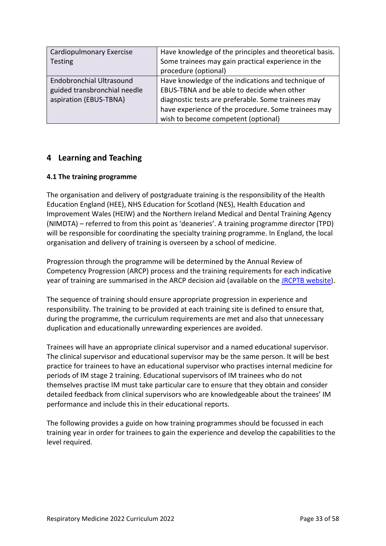| Cardiopulmonary Exercise        | Have knowledge of the principles and theoretical basis. |
|---------------------------------|---------------------------------------------------------|
| Testing                         | Some trainees may gain practical experience in the      |
|                                 | procedure (optional)                                    |
| <b>Endobronchial Ultrasound</b> | Have knowledge of the indications and technique of      |
| guided transbronchial needle    | EBUS-TBNA and be able to decide when other              |
| aspiration (EBUS-TBNA)          | diagnostic tests are preferable. Some trainees may      |
|                                 | have experience of the procedure. Some trainees may     |
|                                 | wish to become competent (optional)                     |

# <span id="page-32-0"></span>**4 Learning and Teaching**

### <span id="page-32-1"></span>**4.1 The training programme**

The organisation and delivery of postgraduate training is the responsibility of the Health Education England (HEE), NHS Education for Scotland (NES), Health Education and Improvement Wales (HEIW) and the Northern Ireland Medical and Dental Training Agency (NIMDTA) – referred to from this point as 'deaneries'. A training programme director (TPD) will be responsible for coordinating the specialty training programme. In England, the local organisation and delivery of training is overseen by a school of medicine.

Progression through the programme will be determined by the Annual Review of Competency Progression (ARCP) process and the training requirements for each indicative year of training are summarised in the ARCP decision aid (available on the [JRCPTB website\)](http://www.jrcptb.org.uk/).

The sequence of training should ensure appropriate progression in experience and responsibility. The training to be provided at each training site is defined to ensure that, during the programme, the curriculum requirements are met and also that unnecessary duplication and educationally unrewarding experiences are avoided.

Trainees will have an appropriate clinical supervisor and a named educational supervisor. The clinical supervisor and educational supervisor may be the same person. It will be best practice for trainees to have an educational supervisor who practises internal medicine for periods of IM stage 2 training. Educational supervisors of IM trainees who do not themselves practise IM must take particular care to ensure that they obtain and consider detailed feedback from clinical supervisors who are knowledgeable about the trainees' IM performance and include this in their educational reports.

The following provides a guide on how training programmes should be focussed in each training year in order for trainees to gain the experience and develop the capabilities to the level required.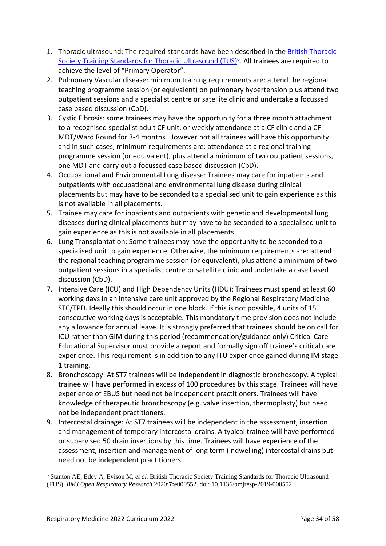- 1. Thoracic ultrasound: The required standards have been described in the [British Thoracic](https://bmjopenrespres.bmj.com/content/7/1/e000552)  [Society Training Standards for Thoracic Ultrasound \(TUS\)](https://bmjopenrespres.bmj.com/content/7/1/e000552)<sup>6</sup>. All trainees are required to achieve the level of "Primary Operator".
- 2. Pulmonary Vascular disease: minimum training requirements are: attend the regional teaching programme session (or equivalent) on pulmonary hypertension plus attend two outpatient sessions and a specialist centre or satellite clinic and undertake a focussed case based discussion (CbD).
- 3. Cystic Fibrosis: some trainees may have the opportunity for a three month attachment to a recognised specialist adult CF unit, or weekly attendance at a CF clinic and a CF MDT/Ward Round for 3-4 months. However not all trainees will have this opportunity and in such cases, minimum requirements are: attendance at a regional training programme session (or equivalent), plus attend a minimum of two outpatient sessions, one MDT and carry out a focussed case based discussion (CbD).
- 4. Occupational and Environmental Lung disease: Trainees may care for inpatients and outpatients with occupational and environmental lung disease during clinical placements but may have to be seconded to a specialised unit to gain experience as this is not available in all placements.
- 5. Trainee may care for inpatients and outpatients with genetic and developmental lung diseases during clinical placements but may have to be seconded to a specialised unit to gain experience as this is not available in all placements.
- 6. Lung Transplantation: Some trainees may have the opportunity to be seconded to a specialised unit to gain experience. Otherwise, the minimum requirements are: attend the regional teaching programme session (or equivalent), plus attend a minimum of two outpatient sessions in a specialist centre or satellite clinic and undertake a case based discussion (CbD).
- 7. Intensive Care (ICU) and High Dependency Units (HDU): Trainees must spend at least 60 working days in an intensive care unit approved by the Regional Respiratory Medicine STC/TPD. Ideally this should occur in one block. If this is not possible, 4 units of 15 consecutive working days is acceptable. This mandatory time provision does not include any allowance for annual leave. It is strongly preferred that trainees should be on call for ICU rather than GIM during this period (recommendation/guidance only) Critical Care Educational Supervisor must provide a report and formally sign off trainee's critical care experience. This requirement is in addition to any ITU experience gained during IM stage 1 training.
- 8. Bronchoscopy: At ST7 trainees will be independent in diagnostic bronchoscopy. A typical trainee will have performed in excess of 100 procedures by this stage. Trainees will have experience of EBUS but need not be independent practitioners. Trainees will have knowledge of therapeutic bronchoscopy (e.g. valve insertion, thermoplasty) but need not be independent practitioners.
- 9. Intercostal drainage: At ST7 trainees will be independent in the assessment, insertion and management of temporary intercostal drains. A typical trainee will have performed or supervised 50 drain insertions by this time. Trainees will have experience of the assessment, insertion and management of long term (indwelling) intercostal drains but need not be independent practitioners.

<sup>6</sup> Stanton AE, Edey A, Evison M*, et al.* British Thoracic Society Training Standards for Thoracic Ultrasound (TUS). *BMJ Open Respiratory Research* 2020;**7:**e000552. doi: 10.1136/bmjresp-2019-000552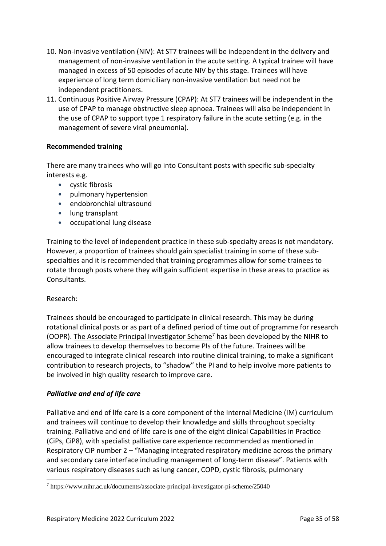- 10. Non-invasive ventilation (NIV): At ST7 trainees will be independent in the delivery and management of non-invasive ventilation in the acute setting. A typical trainee will have managed in excess of 50 episodes of acute NIV by this stage. Trainees will have experience of long term domiciliary non-invasive ventilation but need not be independent practitioners.
- 11. Continuous Positive Airway Pressure (CPAP): At ST7 trainees will be independent in the use of CPAP to manage obstructive sleep apnoea. Trainees will also be independent in the use of CPAP to support type 1 respiratory failure in the acute setting (e.g. in the management of severe viral pneumonia).

### **Recommended training**

There are many trainees who will go into Consultant posts with specific sub-specialty interests e.g.

- cystic fibrosis
- pulmonary hypertension
- endobronchial ultrasound
- lung transplant
- occupational lung disease

Training to the level of independent practice in these sub-specialty areas is not mandatory. However, a proportion of trainees should gain specialist training in some of these subspecialties and it is recommended that training programmes allow for some trainees to rotate through posts where they will gain sufficient expertise in these areas to practice as Consultants.

#### Research:

Trainees should be encouraged to participate in clinical research. This may be during rotational clinical posts or as part of a defined period of time out of programme for research (OOPR). [The Associate Principal Investigator Scheme](https://www.nihr.ac.uk/documents/associate-principal-investigator-pi-scheme/25040)<sup>7</sup> has been developed by the NIHR to allow trainees to develop themselves to become PIs of the future. Trainees will be encouraged to integrate clinical research into routine clinical training, to make a significant contribution to research projects, to "shadow" the PI and to help involve more patients to be involved in high quality research to improve care.

#### *Palliative and end of life care*

Palliative and end of life care is a core component of the Internal Medicine (IM) curriculum and trainees will continue to develop their knowledge and skills throughout specialty training. Palliative and end of life care is one of the eight clinical Capabilities in Practice (CiPs, CiP8), with specialist palliative care experience recommended as mentioned in Respiratory CiP number 2 – "Managing integrated respiratory medicine across the primary and secondary care interface including management of long-term disease". Patients with various respiratory diseases such as lung cancer, COPD, cystic fibrosis, pulmonary

 $^7$ https://www.nihr.ac.uk/documents/associate-principal-investigator-pi-scheme/25040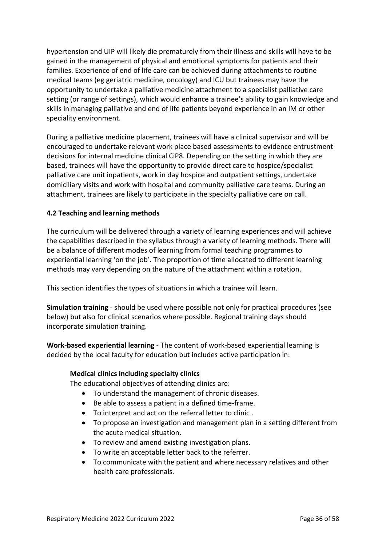hypertension and UIP will likely die prematurely from their illness and skills will have to be gained in the management of physical and emotional symptoms for patients and their families. Experience of end of life care can be achieved during attachments to routine medical teams (eg geriatric medicine, oncology) and ICU but trainees may have the opportunity to undertake a palliative medicine attachment to a specialist palliative care setting (or range of settings), which would enhance a trainee's ability to gain knowledge and skills in managing palliative and end of life patients beyond experience in an IM or other speciality environment.

During a palliative medicine placement, trainees will have a clinical supervisor and will be encouraged to undertake relevant work place based assessments to evidence entrustment decisions for internal medicine clinical CiP8. Depending on the setting in which they are based, trainees will have the opportunity to provide direct care to hospice/specialist palliative care unit inpatients, work in day hospice and outpatient settings, undertake domiciliary visits and work with hospital and community palliative care teams. During an attachment, trainees are likely to participate in the specialty palliative care on call.

### <span id="page-35-0"></span>**4.2 Teaching and learning methods**

The curriculum will be delivered through a variety of learning experiences and will achieve the capabilities described in the syllabus through a variety of learning methods. There will be a balance of different modes of learning from formal teaching programmes to experiential learning 'on the job'. The proportion of time allocated to different learning methods may vary depending on the nature of the attachment within a rotation.

This section identifies the types of situations in which a trainee will learn.

**Simulation training** - should be used where possible not only for practical procedures (see below) but also for clinical scenarios where possible. Regional training days should incorporate simulation training.

**Work-based experiential learning** - The content of work-based experiential learning is decided by the local faculty for education but includes active participation in:

#### **Medical clinics including specialty clinics**

The educational objectives of attending clinics are:

- To understand the management of chronic diseases.
- Be able to assess a patient in a defined time-frame.
- To interpret and act on the referral letter to clinic .
- To propose an investigation and management plan in a setting different from the acute medical situation.
- To review and amend existing investigation plans.
- To write an acceptable letter back to the referrer.
- To communicate with the patient and where necessary relatives and other health care professionals.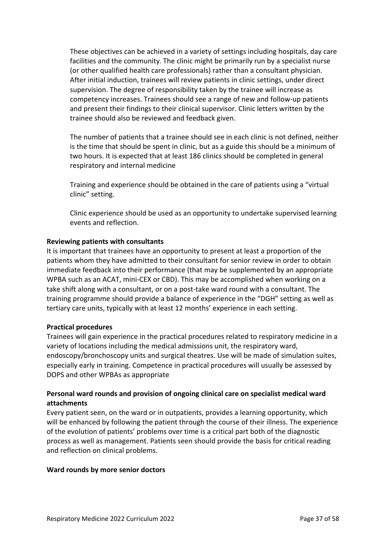These objectives can be achieved in a variety of settings including hospitals, day care facilities and the community. The clinic might be primarily run by a specialist nurse (or other qualified health care professionals) rather than a consultant physician. After initial induction, trainees will review patients in clinic settings, under direct supervision. The degree of responsibility taken by the trainee will increase as competency increases. Trainees should see a range of new and follow-up patients and present their findings to their clinical supervisor. Clinic letters written by the trainee should also be reviewed and feedback given.

The number of patients that a trainee should see in each clinic is not defined, neither is the time that should be spent in clinic, but as a guide this should be a minimum of two hours. It is expected that at least 186 clinics should be completed in general respiratory and internal medicine

Training and experience should be obtained in the care of patients using a "virtual clinic" setting.

Clinic experience should be used as an opportunity to undertake supervised learning events and reflection.

#### **Reviewing patients with consultants**

It is important that trainees have an opportunity to present at least a proportion of the patients whom they have admitted to their consultant for senior review in order to obtain immediate feedback into their performance (that may be supplemented by an appropriate WPBA such as an ACAT, mini-CEX or CBD). This may be accomplished when working on a take shift along with a consultant, or on a post-take ward round with a consultant. The training programme should provide a balance of experience in the "DGH" setting as well as tertiary care units, typically with at least 12 months' experience in each setting.

#### **Practical procedures**

Trainees will gain experience in the practical procedures related to respiratory medicine in a variety of locations including the medical admissions unit, the respiratory ward, endoscopy/bronchoscopy units and surgical theatres. Use will be made of simulation suites, especially early in training. Competence in practical procedures will usually be assessed by DOPS and other WPBAs as appropriate

### **Personal ward rounds and provision of ongoing clinical care on specialist medical ward attachments**

Every patient seen, on the ward or in outpatients, provides a learning opportunity, which will be enhanced by following the patient through the course of their illness. The experience of the evolution of patients' problems over time is a critical part both of the diagnostic process as well as management. Patients seen should provide the basis for critical reading and reflection on clinical problems.

#### **Ward rounds by more senior doctors**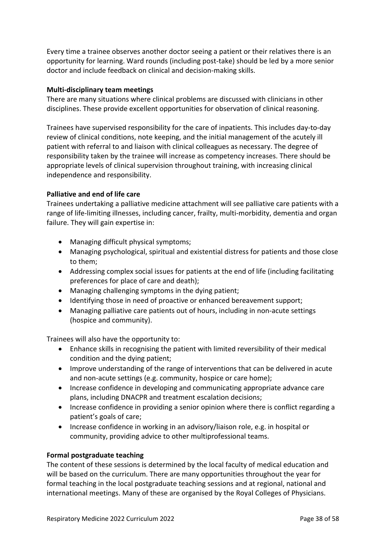Every time a trainee observes another doctor seeing a patient or their relatives there is an opportunity for learning. Ward rounds (including post-take) should be led by a more senior doctor and include feedback on clinical and decision-making skills.

#### **Multi-disciplinary team meetings**

There are many situations where clinical problems are discussed with clinicians in other disciplines. These provide excellent opportunities for observation of clinical reasoning.

Trainees have supervised responsibility for the care of inpatients. This includes day-to-day review of clinical conditions, note keeping, and the initial management of the acutely ill patient with referral to and liaison with clinical colleagues as necessary. The degree of responsibility taken by the trainee will increase as competency increases. There should be appropriate levels of clinical supervision throughout training, with increasing clinical independence and responsibility.

### **Palliative and end of life care**

Trainees undertaking a palliative medicine attachment will see palliative care patients with a range of life-limiting illnesses, including cancer, frailty, multi-morbidity, dementia and organ failure. They will gain expertise in:

- Managing difficult physical symptoms;
- Managing psychological, spiritual and existential distress for patients and those close to them;
- Addressing complex social issues for patients at the end of life (including facilitating preferences for place of care and death);
- Managing challenging symptoms in the dying patient;
- Identifying those in need of proactive or enhanced bereavement support;
- Managing palliative care patients out of hours, including in non-acute settings (hospice and community).

Trainees will also have the opportunity to:

- Enhance skills in recognising the patient with limited reversibility of their medical condition and the dying patient;
- Improve understanding of the range of interventions that can be delivered in acute and non-acute settings (e.g. community, hospice or care home);
- Increase confidence in developing and communicating appropriate advance care plans, including DNACPR and treatment escalation decisions;
- Increase confidence in providing a senior opinion where there is conflict regarding a patient's goals of care;
- Increase confidence in working in an advisory/liaison role, e.g. in hospital or community, providing advice to other multiprofessional teams.

#### **Formal postgraduate teaching**

The content of these sessions is determined by the local faculty of medical education and will be based on the curriculum. There are many opportunities throughout the year for formal teaching in the local postgraduate teaching sessions and at regional, national and international meetings. Many of these are organised by the Royal Colleges of Physicians.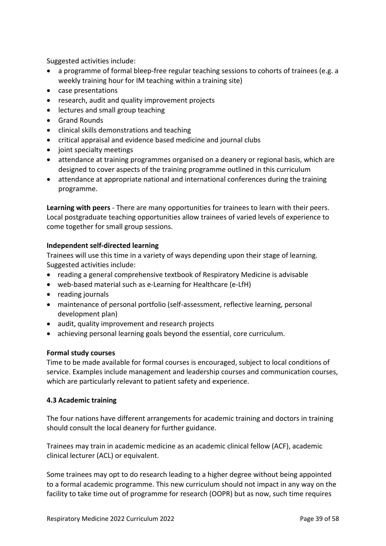Suggested activities include:

- a programme of formal bleep-free regular teaching sessions to cohorts of trainees (e.g. a weekly training hour for IM teaching within a training site)
- case presentations
- research, audit and quality improvement projects
- lectures and small group teaching
- Grand Rounds
- clinical skills demonstrations and teaching
- critical appraisal and evidence based medicine and journal clubs
- joint specialty meetings
- attendance at training programmes organised on a deanery or regional basis, which are designed to cover aspects of the training programme outlined in this curriculum
- attendance at appropriate national and international conferences during the training programme.

**Learning with peers** - There are many opportunities for trainees to learn with their peers. Local postgraduate teaching opportunities allow trainees of varied levels of experience to come together for small group sessions.

### **Independent self-directed learning**

Trainees will use this time in a variety of ways depending upon their stage of learning. Suggested activities include:

- reading a general comprehensive textbook of Respiratory Medicine is advisable
- web-based material such as e-Learning for Healthcare (e-LfH)
- reading journals
- maintenance of personal portfolio (self-assessment, reflective learning, personal development plan)
- audit, quality improvement and research projects
- achieving personal learning goals beyond the essential, core curriculum.

#### **Formal study courses**

Time to be made available for formal courses is encouraged, subject to local conditions of service. Examples include management and leadership courses and communication courses, which are particularly relevant to patient safety and experience.

#### <span id="page-38-0"></span>**4.3 Academic training**

The four nations have different arrangements for academic training and doctors in training should consult the local deanery for further guidance.

Trainees may train in academic medicine as an academic clinical fellow (ACF), academic clinical lecturer (ACL) or equivalent.

Some trainees may opt to do research leading to a higher degree without being appointed to a formal academic programme. This new curriculum should not impact in any way on the facility to take time out of programme for research (OOPR) but as now, such time requires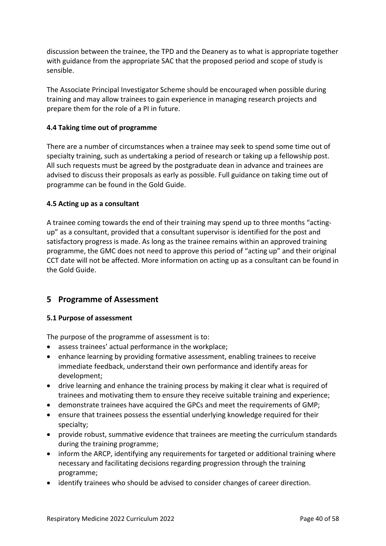discussion between the trainee, the TPD and the Deanery as to what is appropriate together with guidance from the appropriate SAC that the proposed period and scope of study is sensible.

The Associate Principal Investigator Scheme should be encouraged when possible during training and may allow trainees to gain experience in managing research projects and prepare them for the role of a PI in future.

### <span id="page-39-0"></span>**4.4 Taking time out of programme**

There are a number of circumstances when a trainee may seek to spend some time out of specialty training, such as undertaking a period of research or taking up a fellowship post. All such requests must be agreed by the postgraduate dean in advance and trainees are advised to discuss their proposals as early as possible. Full guidance on taking time out of programme can be found in the Gold Guide.

#### <span id="page-39-1"></span>**4.5 Acting up as a consultant**

A trainee coming towards the end of their training may spend up to three months "actingup" as a consultant, provided that a consultant supervisor is identified for the post and satisfactory progress is made. As long as the trainee remains within an approved training programme, the GMC does not need to approve this period of "acting up" and their original CCT date will not be affected. More information on acting up as a consultant can be found in the Gold Guide.

# <span id="page-39-2"></span>**5 Programme of Assessment**

#### <span id="page-39-3"></span>**5.1 Purpose of assessment**

The purpose of the programme of assessment is to:

- assess trainees' actual performance in the workplace;
- enhance learning by providing formative assessment, enabling trainees to receive immediate feedback, understand their own performance and identify areas for development;
- drive learning and enhance the training process by making it clear what is required of trainees and motivating them to ensure they receive suitable training and experience;
- demonstrate trainees have acquired the GPCs and meet the requirements of GMP;
- ensure that trainees possess the essential underlying knowledge required for their specialty;
- provide robust, summative evidence that trainees are meeting the curriculum standards during the training programme;
- inform the ARCP, identifying any requirements for targeted or additional training where necessary and facilitating decisions regarding progression through the training programme;
- identify trainees who should be advised to consider changes of career direction.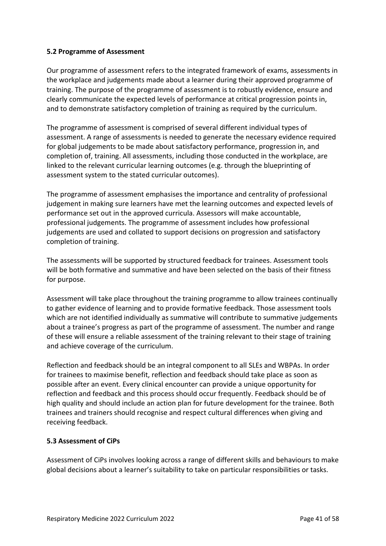### <span id="page-40-0"></span>**5.2 Programme of Assessment**

Our programme of assessment refers to the integrated framework of exams, assessments in the workplace and judgements made about a learner during their approved programme of training. The purpose of the programme of assessment is to robustly evidence, ensure and clearly communicate the expected levels of performance at critical progression points in, and to demonstrate satisfactory completion of training as required by the curriculum.

The programme of assessment is comprised of several different individual types of assessment. A range of assessments is needed to generate the necessary evidence required for global judgements to be made about satisfactory performance, progression in, and completion of, training. All assessments, including those conducted in the workplace, are linked to the relevant curricular learning outcomes (e.g. through the blueprinting of assessment system to the stated curricular outcomes).

The programme of assessment emphasises the importance and centrality of professional judgement in making sure learners have met the learning outcomes and expected levels of performance set out in the approved curricula. Assessors will make accountable, professional judgements. The programme of assessment includes how professional judgements are used and collated to support decisions on progression and satisfactory completion of training.

The assessments will be supported by structured feedback for trainees. Assessment tools will be both formative and summative and have been selected on the basis of their fitness for purpose.

Assessment will take place throughout the training programme to allow trainees continually to gather evidence of learning and to provide formative feedback. Those assessment tools which are not identified individually as summative will contribute to summative judgements about a trainee's progress as part of the programme of assessment. The number and range of these will ensure a reliable assessment of the training relevant to their stage of training and achieve coverage of the curriculum.

Reflection and feedback should be an integral component to all SLEs and WBPAs. In order for trainees to maximise benefit, reflection and feedback should take place as soon as possible after an event. Every clinical encounter can provide a unique opportunity for reflection and feedback and this process should occur frequently. Feedback should be of high quality and should include an action plan for future development for the trainee. Both trainees and trainers should recognise and respect cultural differences when giving and receiving feedback.

#### <span id="page-40-1"></span>**5.3 Assessment of CiPs**

Assessment of CiPs involves looking across a range of different skills and behaviours to make global decisions about a learner's suitability to take on particular responsibilities or tasks.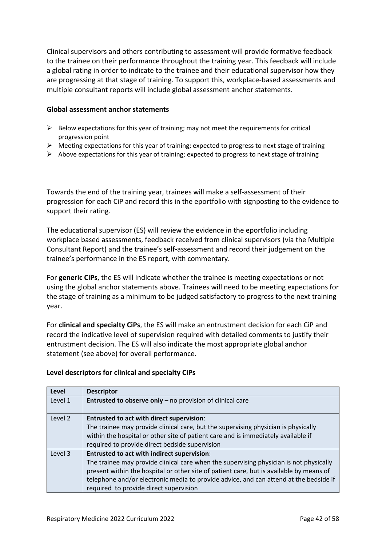Clinical supervisors and others contributing to assessment will provide formative feedback to the trainee on their performance throughout the training year. This feedback will include a global rating in order to indicate to the trainee and their educational supervisor how they are progressing at that stage of training. To support this, workplace-based assessments and multiple consultant reports will include global assessment anchor statements.

#### **Global assessment anchor statements**

- $\triangleright$  Below expectations for this year of training; may not meet the requirements for critical progression point
- $\triangleright$  Meeting expectations for this year of training; expected to progress to next stage of training
- $\triangleright$  Above expectations for this year of training; expected to progress to next stage of training

Towards the end of the training year, trainees will make a self-assessment of their progression for each CiP and record this in the eportfolio with signposting to the evidence to support their rating.

The educational supervisor (ES) will review the evidence in the eportfolio including workplace based assessments, feedback received from clinical supervisors (via the Multiple Consultant Report) and the trainee's self-assessment and record their judgement on the trainee's performance in the ES report, with commentary.

For **generic CiPs**, the ES will indicate whether the trainee is meeting expectations or not using the global anchor statements above. Trainees will need to be meeting expectations for the stage of training as a minimum to be judged satisfactory to progress to the next training year.

For **clinical and specialty CiPs**, the ES will make an entrustment decision for each CiP and record the indicative level of supervision required with detailed comments to justify their entrustment decision. The ES will also indicate the most appropriate global anchor statement (see above) for overall performance.

#### **Level descriptors for clinical and specialty CiPs**

| Level   | <b>Descriptor</b>                                                                                                                                                                                                                                                                                                                                                          |
|---------|----------------------------------------------------------------------------------------------------------------------------------------------------------------------------------------------------------------------------------------------------------------------------------------------------------------------------------------------------------------------------|
| Level 1 | Entrusted to observe only - no provision of clinical care                                                                                                                                                                                                                                                                                                                  |
| Level 2 | <b>Entrusted to act with direct supervision:</b><br>The trainee may provide clinical care, but the supervising physician is physically<br>within the hospital or other site of patient care and is immediately available if<br>required to provide direct bedside supervision                                                                                              |
| Level 3 | <b>Entrusted to act with indirect supervision:</b><br>The trainee may provide clinical care when the supervising physician is not physically<br>present within the hospital or other site of patient care, but is available by means of<br>telephone and/or electronic media to provide advice, and can attend at the bedside if<br>required to provide direct supervision |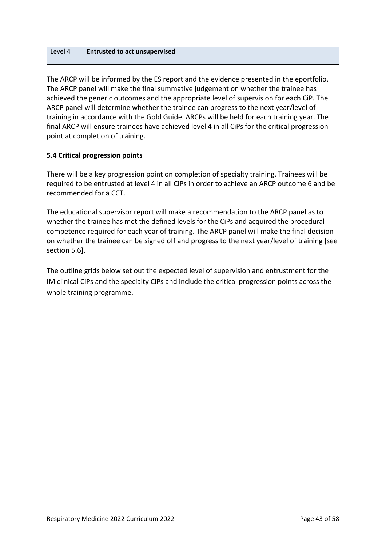| Level 4 | <b>Entrusted to act unsupervised</b> |
|---------|--------------------------------------|
|         |                                      |

The ARCP will be informed by the ES report and the evidence presented in the eportfolio. The ARCP panel will make the final summative judgement on whether the trainee has achieved the generic outcomes and the appropriate level of supervision for each CiP. The ARCP panel will determine whether the trainee can progress to the next year/level of training in accordance with the Gold Guide. ARCPs will be held for each training year. The final ARCP will ensure trainees have achieved level 4 in all CiPs for the critical progression point at completion of training.

### <span id="page-42-0"></span>**5.4 Critical progression points**

There will be a key progression point on completion of specialty training. Trainees will be required to be entrusted at level 4 in all CiPs in order to achieve an ARCP outcome 6 and be recommended for a CCT.

The educational supervisor report will make a recommendation to the ARCP panel as to whether the trainee has met the defined levels for the CiPs and acquired the procedural competence required for each year of training. The ARCP panel will make the final decision on whether the trainee can be signed off and progress to the next year/level of training [see section 5.6].

The outline grids below set out the expected level of supervision and entrustment for the IM clinical CiPs and the specialty CiPs and include the critical progression points across the whole training programme.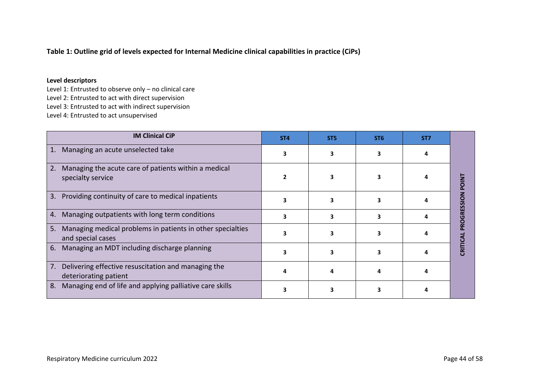### **Table 1: Outline grid of levels expected for Internal Medicine clinical capabilities in practice (CiPs)**

#### **Level descriptors**

Level 1: Entrusted to observe only – no clinical care Level 2: Entrusted to act with direct supervision Level 3: Entrusted to act with indirect supervision Level 4: Entrusted to act unsupervised

| <b>IM Clinical CiP</b>                                                                | ST <sub>4</sub> | ST <sub>5</sub> | ST <sub>6</sub> | ST <sub>7</sub> |                  |
|---------------------------------------------------------------------------------------|-----------------|-----------------|-----------------|-----------------|------------------|
| Managing an acute unselected take<br>1.                                               | 3               |                 |                 |                 |                  |
| Managing the acute care of patients within a medical<br>2.<br>specialty service       |                 |                 |                 |                 | Z<br>Q<br>Q      |
| Providing continuity of care to medical inpatients<br>3.                              |                 |                 |                 |                 |                  |
| Managing outpatients with long term conditions<br>4.                                  | 3               |                 |                 |                 | <b>ROGRESSIO</b> |
| Managing medical problems in patients in other specialties<br>5.<br>and special cases |                 |                 |                 |                 |                  |
| Managing an MDT including discharge planning<br>6.                                    |                 |                 |                 |                 | CRITI            |
| Delivering effective resuscitation and managing the<br>7.<br>deteriorating patient    |                 |                 |                 |                 |                  |
| Managing end of life and applying palliative care skills<br>8.                        |                 |                 |                 |                 |                  |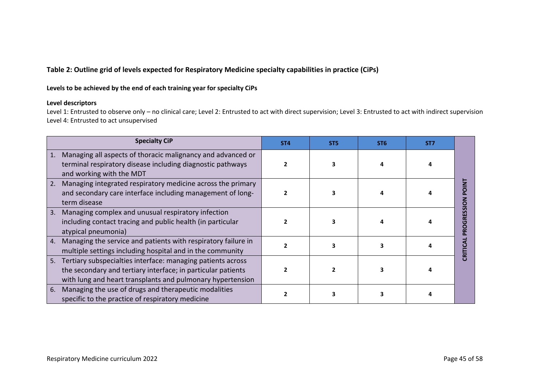### **Table 2: Outline grid of levels expected for Respiratory Medicine specialty capabilities in practice (CiPs)**

#### **Levels to be achieved by the end of each training year for specialty CiPs**

#### **Level descriptors**

Level 1: Entrusted to observe only – no clinical care; Level 2: Entrusted to act with direct supervision; Level 3: Entrusted to act with indirect supervision Level 4: Entrusted to act unsupervised

| <b>Specialty CiP</b>                                                                                                                                                                            | ST <sub>4</sub> | ST <sub>5</sub> | ST <sub>6</sub> | ST <sub>7</sub> |                         |
|-------------------------------------------------------------------------------------------------------------------------------------------------------------------------------------------------|-----------------|-----------------|-----------------|-----------------|-------------------------|
| Managing all aspects of thoracic malignancy and advanced or<br>1.<br>terminal respiratory disease including diagnostic pathways<br>and working with the MDT                                     |                 |                 |                 |                 |                         |
| 2.<br>Managing integrated respiratory medicine across the primary<br>and secondary care interface including management of long-<br>term disease                                                 |                 |                 |                 |                 | O                       |
| Managing complex and unusual respiratory infection<br>3.<br>including contact tracing and public health (in particular<br>atypical pneumonia)                                                   |                 |                 |                 |                 | ESSI<br>ឨ<br>Ŏ<br>œ     |
| 4.<br>Managing the service and patients with respiratory failure in<br>multiple settings including hospital and in the community                                                                |                 |                 |                 |                 | $\overline{\mathbf{r}}$ |
| Tertiary subspecialties interface: managing patients across<br>5.<br>the secondary and tertiary interface; in particular patients<br>with lung and heart transplants and pulmonary hypertension |                 |                 | 3               |                 |                         |
| Managing the use of drugs and therapeutic modalities<br>6.<br>specific to the practice of respiratory medicine                                                                                  |                 |                 |                 |                 |                         |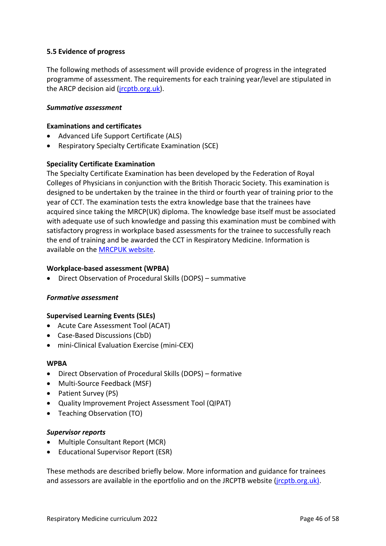### <span id="page-45-0"></span>**5.5 Evidence of progress**

The following methods of assessment will provide evidence of progress in the integrated programme of assessment. The requirements for each training year/level are stipulated in the ARCP decision aid [\(jrcptb.org.uk\)](http://www.jrcptb.org.uk/).

#### *Summative assessment*

#### **Examinations and certificates**

- Advanced Life Support Certificate (ALS)
- Respiratory Specialty Certificate Examination (SCE)

#### **Speciality Certificate Examination**

The Specialty Certificate Examination has been developed by the Federation of Royal Colleges of Physicians in conjunction with the British Thoracic Society. This examination is designed to be undertaken by the trainee in the third or fourth year of training prior to the year of CCT. The examination tests the extra knowledge base that the trainees have acquired since taking the MRCP(UK) diploma. The knowledge base itself must be associated with adequate use of such knowledge and passing this examination must be combined with satisfactory progress in workplace based assessments for the trainee to successfully reach the end of training and be awarded the CCT in Respiratory Medicine. Information is available on the [MRCPUK website.](https://www.mrcpuk.org/mrcpuk-examinations/specialty-certificate-examinations/specialties/respiratory-medicine)

#### **Workplace-based assessment (WPBA)**

• Direct Observation of Procedural Skills (DOPS) – summative

#### *Formative assessment*

#### **Supervised Learning Events (SLEs)**

- Acute Care Assessment Tool (ACAT)
- Case-Based Discussions (CbD)
- mini-Clinical Evaluation Exercise (mini-CEX)

#### **WPBA**

- Direct Observation of Procedural Skills (DOPS) formative
- Multi-Source Feedback (MSF)
- Patient Survey (PS)
- Quality Improvement Project Assessment Tool (QIPAT)
- Teaching Observation (TO)

#### *Supervisor reports*

- Multiple Consultant Report (MCR)
- Educational Supervisor Report (ESR)

These methods are described briefly below. More information and guidance for trainees and assessors are available in the eportfolio and on the JRCPTB website [\(jrcptb.org.uk\)](http://www.jrcptb.org.uk/).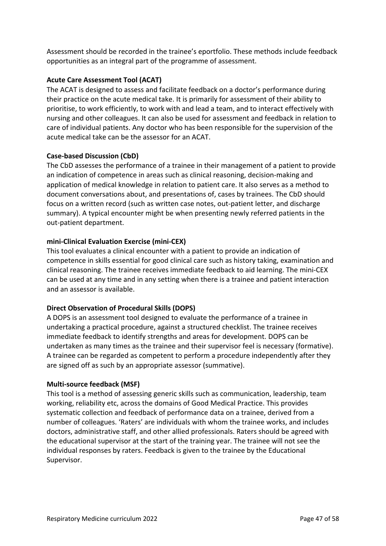Assessment should be recorded in the trainee's eportfolio. These methods include feedback opportunities as an integral part of the programme of assessment.

### **Acute Care Assessment Tool (ACAT)**

The ACAT is designed to assess and facilitate feedback on a doctor's performance during their practice on the acute medical take. It is primarily for assessment of their ability to prioritise, to work efficiently, to work with and lead a team, and to interact effectively with nursing and other colleagues. It can also be used for assessment and feedback in relation to care of individual patients. Any doctor who has been responsible for the supervision of the acute medical take can be the assessor for an ACAT.

#### **Case-based Discussion (CbD)**

The CbD assesses the performance of a trainee in their management of a patient to provide an indication of competence in areas such as clinical reasoning, decision-making and application of medical knowledge in relation to patient care. It also serves as a method to document conversations about, and presentations of, cases by trainees. The CbD should focus on a written record (such as written case notes, out-patient letter, and discharge summary). A typical encounter might be when presenting newly referred patients in the out-patient department.

### **mini-Clinical Evaluation Exercise (mini-CEX)**

This tool evaluates a clinical encounter with a patient to provide an indication of competence in skills essential for good clinical care such as history taking, examination and clinical reasoning. The trainee receives immediate feedback to aid learning. The mini-CEX can be used at any time and in any setting when there is a trainee and patient interaction and an assessor is available.

### **Direct Observation of Procedural Skills (DOPS)**

A DOPS is an assessment tool designed to evaluate the performance of a trainee in undertaking a practical procedure, against a structured checklist. The trainee receives immediate feedback to identify strengths and areas for development. DOPS can be undertaken as many times as the trainee and their supervisor feel is necessary (formative). A trainee can be regarded as competent to perform a procedure independently after they are signed off as such by an appropriate assessor (summative).

#### **Multi-source feedback (MSF)**

This tool is a method of assessing generic skills such as communication, leadership, team working, reliability etc, across the domains of Good Medical Practice. This provides systematic collection and feedback of performance data on a trainee, derived from a number of colleagues. 'Raters' are individuals with whom the trainee works, and includes doctors, administrative staff, and other allied professionals. Raters should be agreed with the educational supervisor at the start of the training year. The trainee will not see the individual responses by raters. Feedback is given to the trainee by the Educational Supervisor.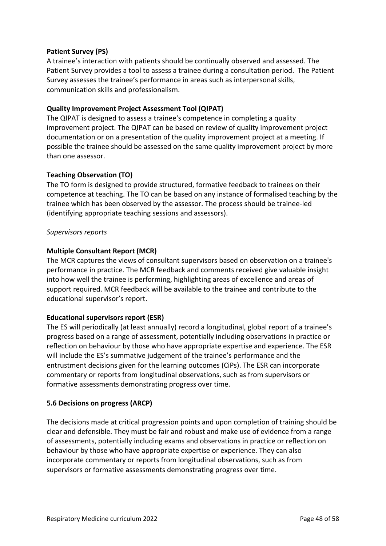### **Patient Survey (PS)**

A trainee's interaction with patients should be continually observed and assessed. The Patient Survey provides a tool to assess a trainee during a consultation period. The Patient Survey assesses the trainee's performance in areas such as interpersonal skills, communication skills and professionalism.

### **Quality Improvement Project Assessment Tool (QIPAT)**

The QIPAT is designed to assess a trainee's competence in completing a quality improvement project. The QIPAT can be based on review of quality improvement project documentation or on a presentation of the quality improvement project at a meeting. If possible the trainee should be assessed on the same quality improvement project by more than one assessor.

### **Teaching Observation (TO)**

The TO form is designed to provide structured, formative feedback to trainees on their competence at teaching. The TO can be based on any instance of formalised teaching by the trainee which has been observed by the assessor. The process should be trainee-led (identifying appropriate teaching sessions and assessors).

### *Supervisors reports*

### **Multiple Consultant Report (MCR)**

The MCR captures the views of consultant supervisors based on observation on a trainee's performance in practice. The MCR feedback and comments received give valuable insight into how well the trainee is performing, highlighting areas of excellence and areas of support required. MCR feedback will be available to the trainee and contribute to the educational supervisor's report.

#### **Educational supervisors report (ESR)**

The ES will periodically (at least annually) record a longitudinal, global report of a trainee's progress based on a range of assessment, potentially including observations in practice or reflection on behaviour by those who have appropriate expertise and experience. The ESR will include the ES's summative judgement of the trainee's performance and the entrustment decisions given for the learning outcomes (CiPs). The ESR can incorporate commentary or reports from longitudinal observations, such as from supervisors or formative assessments demonstrating progress over time.

#### <span id="page-47-0"></span>**5.6 Decisions on progress (ARCP)**

The decisions made at critical progression points and upon completion of training should be clear and defensible. They must be fair and robust and make use of evidence from a range of assessments, potentially including exams and observations in practice or reflection on behaviour by those who have appropriate expertise or experience. They can also incorporate commentary or reports from longitudinal observations, such as from supervisors or formative assessments demonstrating progress over time.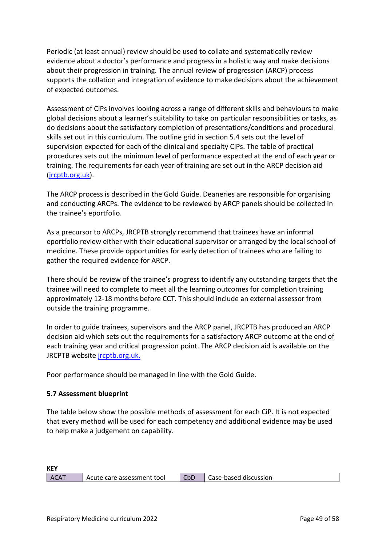Periodic (at least annual) review should be used to collate and systematically review evidence about a doctor's performance and progress in a holistic way and make decisions about their progression in training. The annual review of progression (ARCP) process supports the collation and integration of evidence to make decisions about the achievement of expected outcomes.

Assessment of CiPs involves looking across a range of different skills and behaviours to make global decisions about a learner's suitability to take on particular responsibilities or tasks, as do decisions about the satisfactory completion of presentations/conditions and procedural skills set out in this curriculum. The outline grid in section 5.4 sets out the level of supervision expected for each of the clinical and specialty CiPs. The table of practical procedures sets out the minimum level of performance expected at the end of each year or training. The requirements for each year of training are set out in the ARCP decision aid [\(jrcptb.org.uk\)](http://www.jrcptb.org.uk/).

The ARCP process is described in the Gold Guide. Deaneries are responsible for organising and conducting ARCPs. The evidence to be reviewed by ARCP panels should be collected in the trainee's eportfolio.

As a precursor to ARCPs, JRCPTB strongly recommend that trainees have an informal eportfolio review either with their educational supervisor or arranged by the local school of medicine. These provide opportunities for early detection of trainees who are failing to gather the required evidence for ARCP.

There should be review of the trainee's progress to identify any outstanding targets that the trainee will need to complete to meet all the learning outcomes for completion training approximately 12-18 months before CCT. This should include an external assessor from outside the training programme.

In order to guide trainees, supervisors and the ARCP panel, JRCPTB has produced an ARCP decision aid which sets out the requirements for a satisfactory ARCP outcome at the end of each training year and critical progression point. The ARCP decision aid is available on the JRCPTB website [jrcptb.org.uk.](http://www.jrcptb.org.uk/)

Poor performance should be managed in line with the Gold Guide.

#### <span id="page-48-0"></span>**5.7 Assessment blueprint**

The table below show the possible methods of assessment for each CiP. It is not expected that every method will be used for each competency and additional evidence may be used to help make a judgement on capability.

| <b>KEY</b>  |                              |     |                       |
|-------------|------------------------------|-----|-----------------------|
| <b>ACAT</b> | ■ Acute care assessment tool | CbD | Case-based discussion |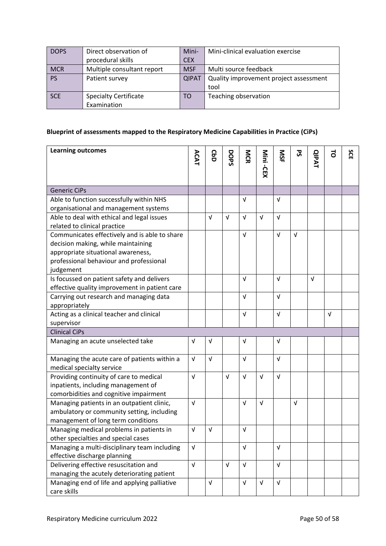| <b>DOPS</b> | Direct observation of        | Mini-        | Mini-clinical evaluation exercise      |
|-------------|------------------------------|--------------|----------------------------------------|
|             | procedural skills            | <b>CEX</b>   |                                        |
| <b>MCR</b>  | Multiple consultant report   | <b>MSF</b>   | Multi source feedback                  |
| <b>PS</b>   | Patient survey               | <b>QIPAT</b> | Quality improvement project assessment |
|             |                              |              | tool                                   |
| <b>SCE</b>  | <b>Specialty Certificate</b> | TO           | Teaching observation                   |
|             | Examination                  |              |                                        |

### **Blueprint of assessments mapped to the Respiratory Medicine Capabilities in Practice (CiPs)**

| <b>Learning outcomes</b>                                                                   | ACAT       | GaD        | DOPS       | MCR        | Mini -CEX  | <b>NSF</b> | ჯ          | <b>QIPAT</b> | 5          | SCE |
|--------------------------------------------------------------------------------------------|------------|------------|------------|------------|------------|------------|------------|--------------|------------|-----|
|                                                                                            |            |            |            |            |            |            |            |              |            |     |
| <b>Generic CiPs</b>                                                                        |            |            |            |            |            |            |            |              |            |     |
| Able to function successfully within NHS                                                   |            |            |            | $\sqrt{ }$ |            | $\sqrt{ }$ |            |              |            |     |
| organisational and management systems                                                      |            |            |            |            |            |            |            |              |            |     |
| Able to deal with ethical and legal issues                                                 |            | V          | $\sqrt{ }$ | $\sqrt{ }$ | $\sqrt{ }$ | $\sqrt{ }$ |            |              |            |     |
| related to clinical practice                                                               |            |            |            |            |            |            |            |              |            |     |
| Communicates effectively and is able to share                                              |            |            |            | $\sqrt{ }$ |            | $\sqrt{ }$ | $\sqrt{ }$ |              |            |     |
| decision making, while maintaining                                                         |            |            |            |            |            |            |            |              |            |     |
| appropriate situational awareness,                                                         |            |            |            |            |            |            |            |              |            |     |
| professional behaviour and professional                                                    |            |            |            |            |            |            |            |              |            |     |
| judgement                                                                                  |            |            |            |            |            |            |            |              |            |     |
| Is focussed on patient safety and delivers                                                 |            |            |            | Λ          |            | v          |            | $\sqrt{ }$   |            |     |
| effective quality improvement in patient care                                              |            |            |            |            |            |            |            |              |            |     |
| Carrying out research and managing data                                                    |            |            |            | $\sqrt{ }$ |            | $\sqrt{ }$ |            |              |            |     |
| appropriately                                                                              |            |            |            |            |            |            |            |              |            |     |
| Acting as a clinical teacher and clinical                                                  |            |            |            | $\sqrt{ }$ |            | $\sqrt{ }$ |            |              | $\sqrt{ }$ |     |
| supervisor<br><b>Clinical CiPs</b>                                                         |            |            |            |            |            |            |            |              |            |     |
|                                                                                            |            |            |            |            |            |            |            |              |            |     |
| Managing an acute unselected take                                                          | $\sqrt{ }$ | $\sqrt{ }$ |            | V          |            | $\sqrt{ }$ |            |              |            |     |
| Managing the acute care of patients within a                                               | $\sqrt{ }$ | $\sqrt{ }$ |            | $\sqrt{ }$ |            | $\sqrt{ }$ |            |              |            |     |
| medical specialty service                                                                  |            |            |            |            |            |            |            |              |            |     |
| Providing continuity of care to medical                                                    | $\sqrt{ }$ |            | $\sqrt{ }$ | $\sqrt{ }$ | $\sqrt{ }$ | $\sqrt{ }$ |            |              |            |     |
| inpatients, including management of                                                        |            |            |            |            |            |            |            |              |            |     |
| comorbidities and cognitive impairment                                                     |            |            |            |            |            |            |            |              |            |     |
| Managing patients in an outpatient clinic,                                                 | $\sqrt{ }$ |            |            | $\sqrt{ }$ | $\sqrt{ }$ |            | $\sqrt{ }$ |              |            |     |
| ambulatory or community setting, including                                                 |            |            |            |            |            |            |            |              |            |     |
| management of long term conditions                                                         |            |            |            |            |            |            |            |              |            |     |
| Managing medical problems in patients in                                                   | V          | $\sqrt{ }$ |            | V          |            |            |            |              |            |     |
| other specialties and special cases                                                        |            |            |            |            |            |            |            |              |            |     |
| Managing a multi-disciplinary team including                                               | $\sqrt{ }$ |            |            | $\sqrt{ }$ |            | $\sqrt{ }$ |            |              |            |     |
| effective discharge planning                                                               |            |            |            |            |            |            |            |              |            |     |
| Delivering effective resuscitation and                                                     | $\sqrt{ }$ |            | $\sqrt{ }$ | $\sqrt{ }$ |            | $\sqrt{ }$ |            |              |            |     |
| managing the acutely deteriorating patient<br>Managing end of life and applying palliative |            | $\sqrt{ }$ |            | $\sqrt{ }$ | $\sqrt{ }$ | $\sqrt{ }$ |            |              |            |     |
| care skills                                                                                |            |            |            |            |            |            |            |              |            |     |
|                                                                                            |            |            |            |            |            |            |            |              |            |     |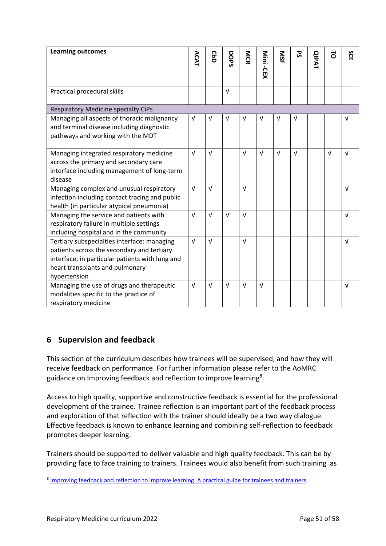| <b>Learning outcomes</b>                                                                                                                                                                        | ACAT       | <b>GbD</b> | DOPS       | <b>NGR</b> | Nini<br>i-CEX | SIS        | უ<br>ა     | <b>QIPAT</b> | $\vec{0}$  | SCE        |
|-------------------------------------------------------------------------------------------------------------------------------------------------------------------------------------------------|------------|------------|------------|------------|---------------|------------|------------|--------------|------------|------------|
|                                                                                                                                                                                                 |            |            |            |            |               |            |            |              |            |            |
| Practical procedural skills                                                                                                                                                                     |            |            | $\sqrt{ }$ |            |               |            |            |              |            |            |
| <b>Respiratory Medicine specialty CiPs</b>                                                                                                                                                      |            |            |            |            |               |            |            |              |            |            |
| Managing all aspects of thoracic malignancy<br>and terminal disease including diagnostic<br>pathways and working with the MDT                                                                   | $\sqrt{ }$ | $\sqrt{ }$ | $\sqrt{ }$ | $\sqrt{ }$ | $\sqrt{ }$    | $\sqrt{ }$ | $\sqrt{ }$ |              |            | $\sqrt{ }$ |
| Managing integrated respiratory medicine<br>across the primary and secondary care<br>interface including management of long-term<br>disease                                                     | $\sqrt{ }$ | $\sqrt{ }$ |            | $\sqrt{ }$ | $\sqrt{ }$    | $\sqrt{ }$ | $\sqrt{ }$ |              | $\sqrt{ }$ | $\sqrt{ }$ |
| Managing complex and unusual respiratory<br>infection including contact tracing and public<br>health (in particular atypical pneumonia)                                                         | $\sqrt{ }$ | $\sqrt{ }$ |            | $\sqrt{ }$ |               |            |            |              |            | $\sqrt{ }$ |
| Managing the service and patients with<br>respiratory failure in multiple settings<br>including hospital and in the community                                                                   | $\sqrt{ }$ | $\sqrt{ }$ | $\sqrt{ }$ | $\sqrt{ }$ |               |            |            |              |            | $\sqrt{ }$ |
| Tertiary subspecialties interface: managing<br>patients across the secondary and tertiary<br>interface; in particular patients with lung and<br>heart transplants and pulmonary<br>hypertension | $\sqrt{ }$ | $\sqrt{ }$ |            | $\sqrt{ }$ |               |            |            |              |            | $\sqrt{ }$ |
| Managing the use of drugs and therapeutic<br>modalities specific to the practice of<br>respiratory medicine                                                                                     | $\sqrt{ }$ | $\sqrt{ }$ | $\sqrt{ }$ | $\sqrt{ }$ | $\sqrt{ }$    |            |            |              |            | $\sqrt{ }$ |

# <span id="page-50-0"></span>**6 Supervision and feedback**

This section of the curriculum describes how trainees will be supervised, and how they will receive feedback on performance. For further information please refer to the AoMRC guidance on Improving feedback and reflection to improve learning<sup>8</sup>.

Access to high quality, supportive and constructive feedback is essential for the professional development of the trainee. Trainee reflection is an important part of the feedback process and exploration of that reflection with the trainer should ideally be a two way dialogue. Effective feedback is known to enhance learning and combining self-reflection to feedback promotes deeper learning.

Trainers should be supported to deliver valuable and high quality feedback. This can be by providing face to face training to trainers. Trainees would also benefit from such training as

<sup>&</sup>lt;sup>8</sup> [Improving feedback and reflection to improve learning. A practical guide for trainees and trainers](http://www.aomrc.org.uk/publications/reports-guidance/improving-feedback-reflection-improve-learning-practical-guide-trainees-trainers/)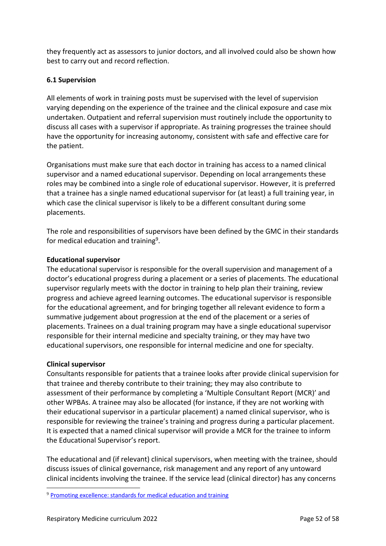they frequently act as assessors to junior doctors, and all involved could also be shown how best to carry out and record reflection.

### <span id="page-51-0"></span>**6.1 Supervision**

All elements of work in training posts must be supervised with the level of supervision varying depending on the experience of the trainee and the clinical exposure and case mix undertaken. Outpatient and referral supervision must routinely include the opportunity to discuss all cases with a supervisor if appropriate. As training progresses the trainee should have the opportunity for increasing autonomy, consistent with safe and effective care for the patient.

Organisations must make sure that each doctor in training has access to a named clinical supervisor and a named educational supervisor. Depending on local arrangements these roles may be combined into a single role of educational supervisor. However, it is preferred that a trainee has a single named educational supervisor for (at least) a full training year, in which case the clinical supervisor is likely to be a different consultant during some placements.

The role and responsibilities of supervisors have been defined by the GMC in their standards for medical education and training<sup>9</sup>.

#### **Educational supervisor**

The educational supervisor is responsible for the overall supervision and management of a doctor's educational progress during a placement or a series of placements. The educational supervisor regularly meets with the doctor in training to help plan their training, review progress and achieve agreed learning outcomes. The educational supervisor is responsible for the educational agreement, and for bringing together all relevant evidence to form a summative judgement about progression at the end of the placement or a series of placements. Trainees on a dual training program may have a single educational supervisor responsible for their internal medicine and specialty training, or they may have two educational supervisors, one responsible for internal medicine and one for specialty.

#### **Clinical supervisor**

Consultants responsible for patients that a trainee looks after provide clinical supervision for that trainee and thereby contribute to their training; they may also contribute to assessment of their performance by completing a 'Multiple Consultant Report (MCR)' and other WPBAs. A trainee may also be allocated (for instance, if they are not working with their educational supervisor in a particular placement) a named clinical supervisor, who is responsible for reviewing the trainee's training and progress during a particular placement. It is expected that a named clinical supervisor will provide a MCR for the trainee to inform the Educational Supervisor's report.

The educational and (if relevant) clinical supervisors, when meeting with the trainee, should discuss issues of clinical governance, risk management and any report of any untoward clinical incidents involving the trainee. If the service lead (clinical director) has any concerns

<sup>&</sup>lt;sup>9</sup> [Promoting excellence: standards for medical education and training](http://www.gmc-uk.org/education/standards.asp)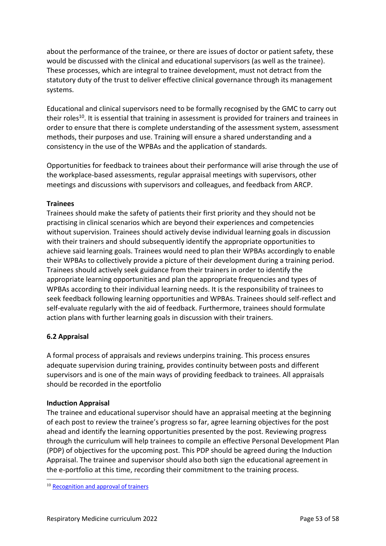about the performance of the trainee, or there are issues of doctor or patient safety, these would be discussed with the clinical and educational supervisors (as well as the trainee). These processes, which are integral to trainee development, must not detract from the statutory duty of the trust to deliver effective clinical governance through its management systems.

Educational and clinical supervisors need to be formally recognised by the GMC to carry out their roles<sup>10</sup>. It is essential that training in assessment is provided for trainers and trainees in order to ensure that there is complete understanding of the assessment system, assessment methods, their purposes and use. Training will ensure a shared understanding and a consistency in the use of the WPBAs and the application of standards.

Opportunities for feedback to trainees about their performance will arise through the use of the workplace-based assessments, regular appraisal meetings with supervisors, other meetings and discussions with supervisors and colleagues, and feedback from ARCP.

### **Trainees**

Trainees should make the safety of patients their first priority and they should not be practising in clinical scenarios which are beyond their experiences and competencies without supervision. Trainees should actively devise individual learning goals in discussion with their trainers and should subsequently identify the appropriate opportunities to achieve said learning goals. Trainees would need to plan their WPBAs accordingly to enable their WPBAs to collectively provide a picture of their development during a training period. Trainees should actively seek guidance from their trainers in order to identify the appropriate learning opportunities and plan the appropriate frequencies and types of WPBAs according to their individual learning needs. It is the responsibility of trainees to seek feedback following learning opportunities and WPBAs. Trainees should self-reflect and self-evaluate regularly with the aid of feedback. Furthermore, trainees should formulate action plans with further learning goals in discussion with their trainers.

### <span id="page-52-0"></span>**6.2 Appraisal**

A formal process of appraisals and reviews underpins training. This process ensures adequate supervision during training, provides continuity between posts and different supervisors and is one of the main ways of providing feedback to trainees. All appraisals should be recorded in the eportfolio

#### **Induction Appraisal**

The trainee and educational supervisor should have an appraisal meeting at the beginning of each post to review the trainee's progress so far, agree learning objectives for the post ahead and identify the learning opportunities presented by the post. Reviewing progress through the curriculum will help trainees to compile an effective Personal Development Plan (PDP) of objectives for the upcoming post. This PDP should be agreed during the Induction Appraisal. The trainee and supervisor should also both sign the educational agreement in the e-portfolio at this time, recording their commitment to the training process.

<sup>&</sup>lt;sup>10</sup> [Recognition and approval of trainers](http://www.gmc-uk.org/education/10264.asp)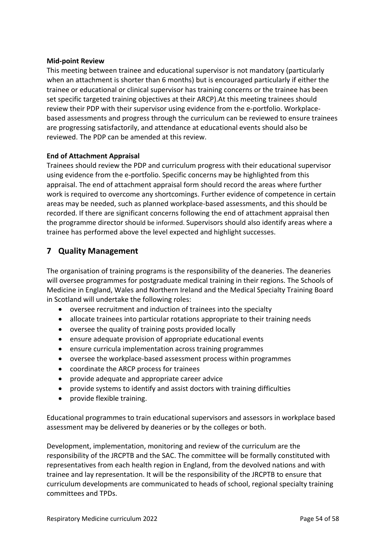#### **Mid-point Review**

This meeting between trainee and educational supervisor is not mandatory (particularly when an attachment is shorter than 6 months) but is encouraged particularly if either the trainee or educational or clinical supervisor has training concerns or the trainee has been set specific targeted training objectives at their ARCP).At this meeting trainees should review their PDP with their supervisor using evidence from the e-portfolio. Workplacebased assessments and progress through the curriculum can be reviewed to ensure trainees are progressing satisfactorily, and attendance at educational events should also be reviewed. The PDP can be amended at this review.

### **End of Attachment Appraisal**

Trainees should review the PDP and curriculum progress with their educational supervisor using evidence from the e-portfolio. Specific concerns may be highlighted from this appraisal. The end of attachment appraisal form should record the areas where further work is required to overcome any shortcomings. Further evidence of competence in certain areas may be needed, such as planned workplace-based assessments, and this should be recorded. If there are significant concerns following the end of attachment appraisal then the programme director should be informed. Supervisors should also identify areas where a trainee has performed above the level expected and highlight successes.

# <span id="page-53-0"></span>**7 Quality Management**

The organisation of training programs is the responsibility of the deaneries. The deaneries will oversee programmes for postgraduate medical training in their regions. The Schools of Medicine in England, Wales and Northern Ireland and the Medical Specialty Training Board in Scotland will undertake the following roles:

- oversee recruitment and induction of trainees into the specialty
- allocate trainees into particular rotations appropriate to their training needs
- oversee the quality of training posts provided locally
- ensure adequate provision of appropriate educational events
- ensure curricula implementation across training programmes
- oversee the workplace-based assessment process within programmes
- coordinate the ARCP process for trainees
- provide adequate and appropriate career advice
- provide systems to identify and assist doctors with training difficulties
- provide flexible training.

Educational programmes to train educational supervisors and assessors in workplace based assessment may be delivered by deaneries or by the colleges or both.

Development, implementation, monitoring and review of the curriculum are the responsibility of the JRCPTB and the SAC. The committee will be formally constituted with representatives from each health region in England, from the devolved nations and with trainee and lay representation. It will be the responsibility of the JRCPTB to ensure that curriculum developments are communicated to heads of school, regional specialty training committees and TPDs.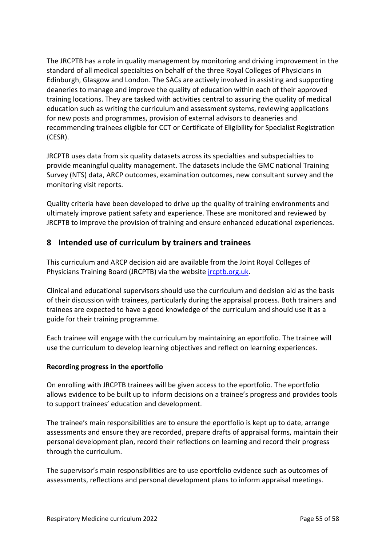The JRCPTB has a role in quality management by monitoring and driving improvement in the standard of all medical specialties on behalf of the three Royal Colleges of Physicians in Edinburgh, Glasgow and London. The SACs are actively involved in assisting and supporting deaneries to manage and improve the quality of education within each of their approved training locations. They are tasked with activities central to assuring the quality of medical education such as writing the curriculum and assessment systems, reviewing applications for new posts and programmes, provision of external advisors to deaneries and recommending trainees eligible for CCT or Certificate of Eligibility for Specialist Registration (CESR).

JRCPTB uses data from six quality datasets across its specialties and subspecialties to provide meaningful quality management. The datasets include the GMC national Training Survey (NTS) data, ARCP outcomes, examination outcomes, new consultant survey and the monitoring visit reports.

Quality criteria have been developed to drive up the quality of training environments and ultimately improve patient safety and experience. These are monitored and reviewed by JRCPTB to improve the provision of training and ensure enhanced educational experiences.

# <span id="page-54-0"></span>**8 Intended use of curriculum by trainers and trainees**

This curriculum and ARCP decision aid are available from the Joint Royal Colleges of Physicians Training Board (JRCPTB) via the website [jrcptb.org.uk.](http://www.jrcptb.org.uk/)

Clinical and educational supervisors should use the curriculum and decision aid as the basis of their discussion with trainees, particularly during the appraisal process. Both trainers and trainees are expected to have a good knowledge of the curriculum and should use it as a guide for their training programme.

Each trainee will engage with the curriculum by maintaining an eportfolio. The trainee will use the curriculum to develop learning objectives and reflect on learning experiences.

### **Recording progress in the eportfolio**

On enrolling with JRCPTB trainees will be given access to the eportfolio. The eportfolio allows evidence to be built up to inform decisions on a trainee's progress and provides tools to support trainees' education and development.

The trainee's main responsibilities are to ensure the eportfolio is kept up to date, arrange assessments and ensure they are recorded, prepare drafts of appraisal forms, maintain their personal development plan, record their reflections on learning and record their progress through the curriculum.

The supervisor's main responsibilities are to use eportfolio evidence such as outcomes of assessments, reflections and personal development plans to inform appraisal meetings.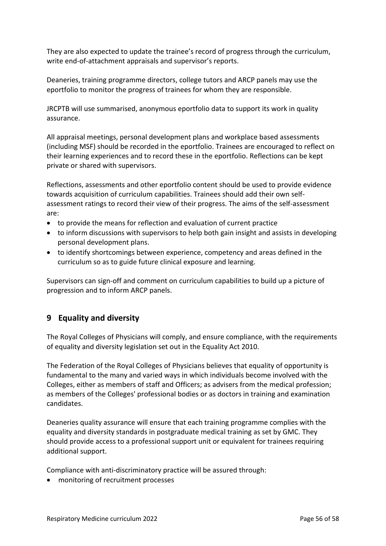They are also expected to update the trainee's record of progress through the curriculum, write end-of-attachment appraisals and supervisor's reports.

Deaneries, training programme directors, college tutors and ARCP panels may use the eportfolio to monitor the progress of trainees for whom they are responsible.

JRCPTB will use summarised, anonymous eportfolio data to support its work in quality assurance.

All appraisal meetings, personal development plans and workplace based assessments (including MSF) should be recorded in the eportfolio. Trainees are encouraged to reflect on their learning experiences and to record these in the eportfolio. Reflections can be kept private or shared with supervisors.

Reflections, assessments and other eportfolio content should be used to provide evidence towards acquisition of curriculum capabilities. Trainees should add their own selfassessment ratings to record their view of their progress. The aims of the self-assessment are:

- to provide the means for reflection and evaluation of current practice
- to inform discussions with supervisors to help both gain insight and assists in developing personal development plans.
- to identify shortcomings between experience, competency and areas defined in the curriculum so as to guide future clinical exposure and learning.

Supervisors can sign-off and comment on curriculum capabilities to build up a picture of progression and to inform ARCP panels.

# <span id="page-55-0"></span>**9 Equality and diversity**

The Royal Colleges of Physicians will comply, and ensure compliance, with the requirements of equality and diversity legislation set out in the Equality Act 2010.

The Federation of the Royal Colleges of Physicians believes that equality of opportunity is fundamental to the many and varied ways in which individuals become involved with the Colleges, either as members of staff and Officers; as advisers from the medical profession; as members of the Colleges' professional bodies or as doctors in training and examination candidates.

Deaneries quality assurance will ensure that each training programme complies with the equality and diversity standards in postgraduate medical training as set by GMC. They should provide access to a professional support unit or equivalent for trainees requiring additional support.

Compliance with anti-discriminatory practice will be assured through:

• monitoring of recruitment processes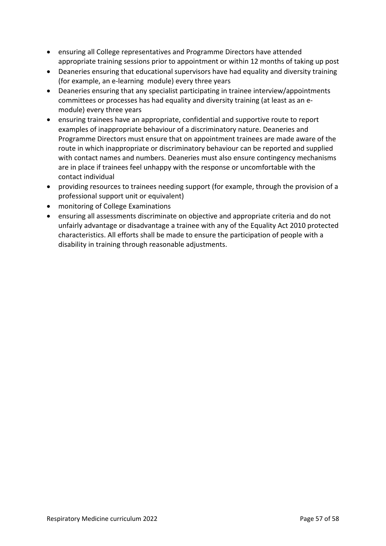- ensuring all College representatives and Programme Directors have attended appropriate training sessions prior to appointment or within 12 months of taking up post
- Deaneries ensuring that educational supervisors have had equality and diversity training (for example, an e-learning module) every three years
- Deaneries ensuring that any specialist participating in trainee interview/appointments committees or processes has had equality and diversity training (at least as an emodule) every three years
- ensuring trainees have an appropriate, confidential and supportive route to report examples of inappropriate behaviour of a discriminatory nature. Deaneries and Programme Directors must ensure that on appointment trainees are made aware of the route in which inappropriate or discriminatory behaviour can be reported and supplied with contact names and numbers. Deaneries must also ensure contingency mechanisms are in place if trainees feel unhappy with the response or uncomfortable with the contact individual
- providing resources to trainees needing support (for example, through the provision of a professional support unit or equivalent)
- monitoring of College Examinations
- ensuring all assessments discriminate on objective and appropriate criteria and do not unfairly advantage or disadvantage a trainee with any of the Equality Act 2010 protected characteristics. All efforts shall be made to ensure the participation of people with a disability in training through reasonable adjustments.